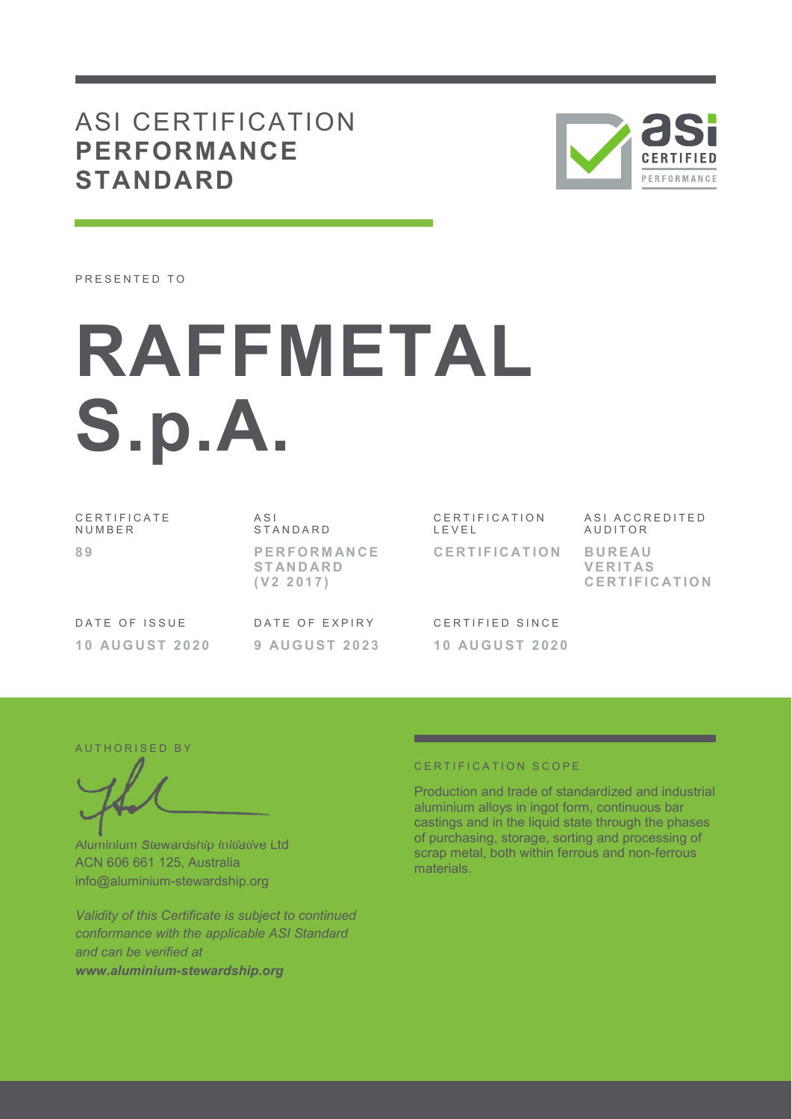# ASI CERTIFICATION **PERFORMANCE STANDARD**



PRESENTED TO

# **RAFFMETAL S.p.A.**

C E R T I F I C A T E N U M B E R **8 9** 

A S I **STANDARD P E R F O R M AN C E S T AN D AR D ( V 2 2 0 1 7 )** 

CERTIFICATION L E V E L **C E R T I F I C AT I O N**  ASI ACCREDITED **AUDITOR B U R E AU** 

**V E R I T AS C E R T I F I C AT I O N**

DATE OF ISSUE **1 0 AU G U S T 2 0 2 0**  DATE OF EXPIRY **9 AU G U S T 2 0 2 3** 

C F R T I F I F D S I N C F **1 0 AU G U S T 2 0 2 0** 

AUTHORISED BY

Aluminium Stewardship Initiative Ltd ACN 606 661 125, Australia info@aluminium-stewardship.org

*Validity of this Certificate is subject to continued conformance with the applicable ASI Standard and can be verified at www.aluminium-stewardship.org*

#### C F R T I F I C A T I O N S C O P F

Production and trade of standardized and industrial aluminium alloys in ingot form, continuous bar castings and in the liquid state through the phases of purchasing, storage, sorting and processing of scrap metal, both within ferrous and non-ferrous materials.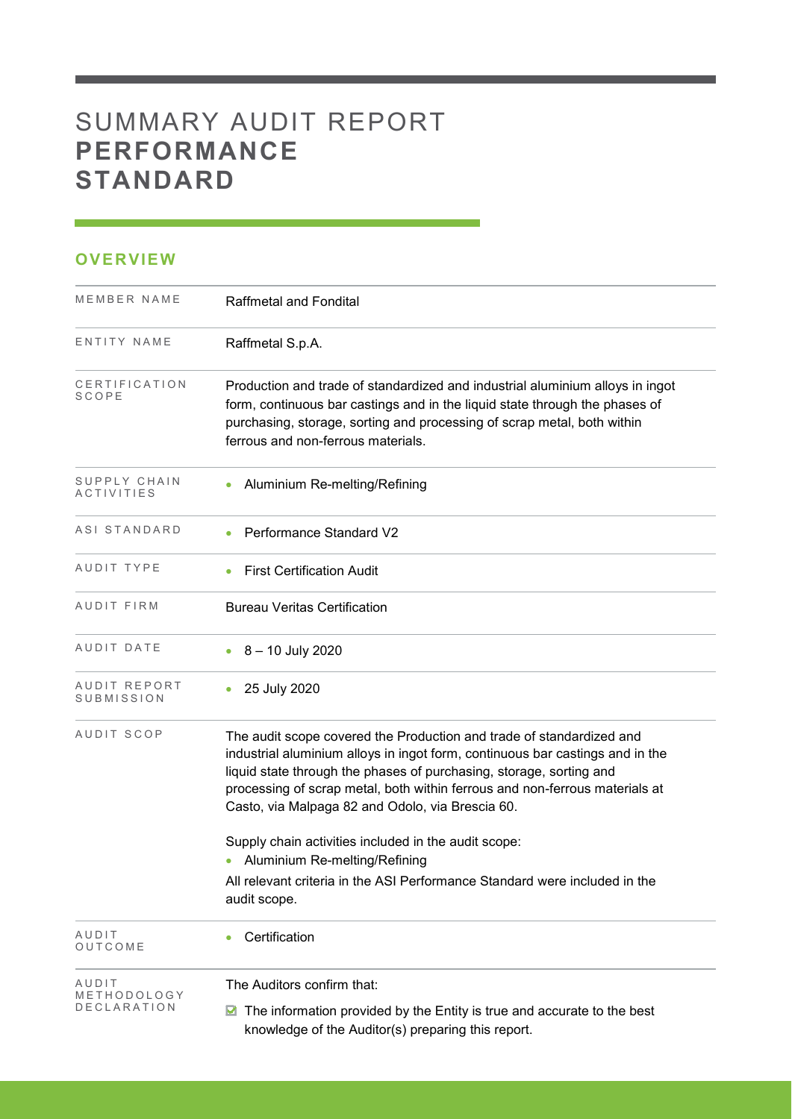# SUMMARY AUDIT REPORT **PERFORMANCE STANDARD**

## **OVERVIEW**

| MEMBER NAME                   | <b>Raffmetal and Fondital</b>                                                                                                                                                                                                                                                                                                                                   |
|-------------------------------|-----------------------------------------------------------------------------------------------------------------------------------------------------------------------------------------------------------------------------------------------------------------------------------------------------------------------------------------------------------------|
| ENTITY NAME                   | Raffmetal S.p.A.                                                                                                                                                                                                                                                                                                                                                |
| CERTIFICATION<br><b>SCOPE</b> | Production and trade of standardized and industrial aluminium alloys in ingot<br>form, continuous bar castings and in the liquid state through the phases of<br>purchasing, storage, sorting and processing of scrap metal, both within<br>ferrous and non-ferrous materials.                                                                                   |
| SUPPLY CHAIN<br>ACTIVITIES    | Aluminium Re-melting/Refining                                                                                                                                                                                                                                                                                                                                   |
| ASI STANDARD                  | <b>Performance Standard V2</b>                                                                                                                                                                                                                                                                                                                                  |
| AUDIT TYPE                    | <b>First Certification Audit</b>                                                                                                                                                                                                                                                                                                                                |
| AUDIT FIRM                    | <b>Bureau Veritas Certification</b>                                                                                                                                                                                                                                                                                                                             |
| AUDIT DATE                    | 8 - 10 July 2020                                                                                                                                                                                                                                                                                                                                                |
| AUDIT REPORT<br>SUBMISSION    | 25 July 2020<br>$\bullet$                                                                                                                                                                                                                                                                                                                                       |
| AUDIT SCOP                    | The audit scope covered the Production and trade of standardized and<br>industrial aluminium alloys in ingot form, continuous bar castings and in the<br>liquid state through the phases of purchasing, storage, sorting and<br>processing of scrap metal, both within ferrous and non-ferrous materials at<br>Casto, via Malpaga 82 and Odolo, via Brescia 60. |
|                               | Supply chain activities included in the audit scope:<br>Aluminium Re-melting/Refining                                                                                                                                                                                                                                                                           |
|                               | All relevant criteria in the ASI Performance Standard were included in the<br>audit scope.                                                                                                                                                                                                                                                                      |
| AUDIT<br>OUTCOME              | Certification                                                                                                                                                                                                                                                                                                                                                   |
| AUDIT<br>METHODOLOGY          | The Auditors confirm that:                                                                                                                                                                                                                                                                                                                                      |
| DECLARATION                   | The information provided by the Entity is true and accurate to the best<br>M<br>knowledge of the Auditor(s) preparing this report.                                                                                                                                                                                                                              |

and the control of the control of the control of the control of the control of the control of the control of the control of the control of the control of the control of the control of the control of the control of the cont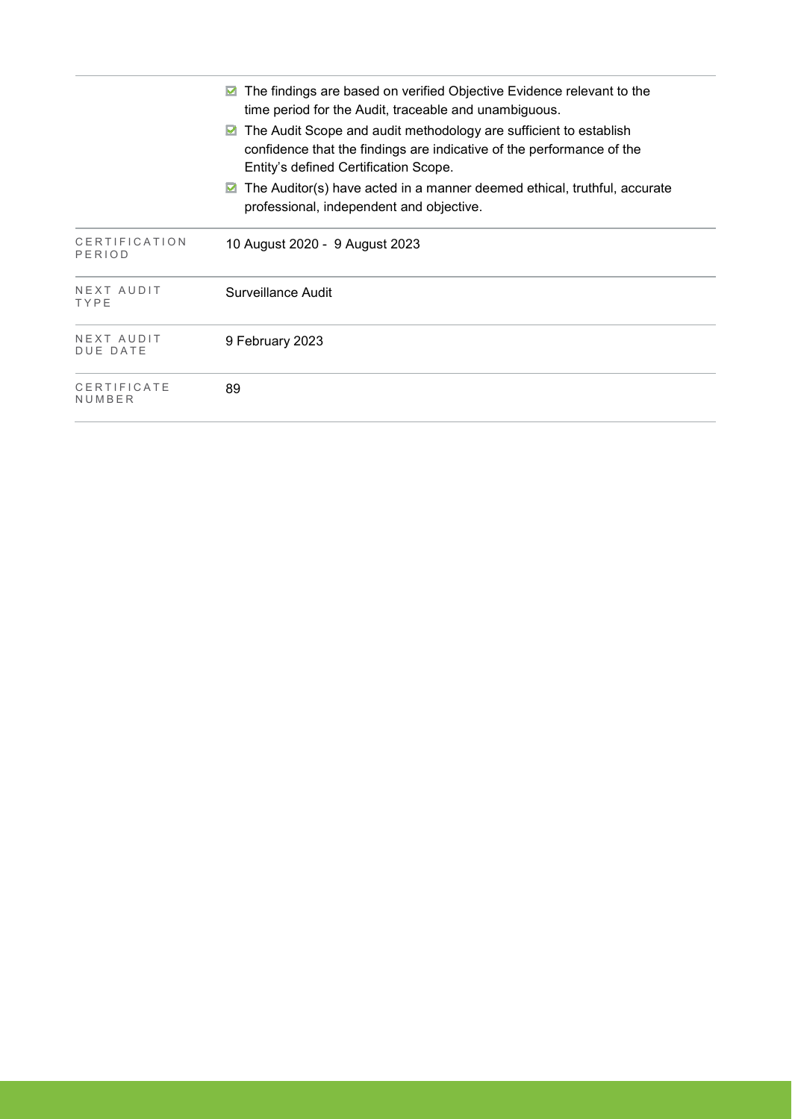|                               | The findings are based on verified Objective Evidence relevant to the<br>time period for the Audit, traceable and unambiguous.<br>The Audit Scope and audit methodology are sufficient to establish<br>M<br>confidence that the findings are indicative of the performance of the |
|-------------------------------|-----------------------------------------------------------------------------------------------------------------------------------------------------------------------------------------------------------------------------------------------------------------------------------|
|                               | Entity's defined Certification Scope.<br>The Auditor(s) have acted in a manner deemed ethical, truthful, accurate<br>M<br>professional, independent and objective.                                                                                                                |
| CERTIFICATION<br>PERIOD       | 10 August 2020 - 9 August 2023                                                                                                                                                                                                                                                    |
| NEXT AUDIT<br>TYPE            | Surveillance Audit                                                                                                                                                                                                                                                                |
| NEXT AUDIT<br><b>DUE DATE</b> | 9 February 2023                                                                                                                                                                                                                                                                   |
| CERTIFICATE<br>NUMBER         | 89                                                                                                                                                                                                                                                                                |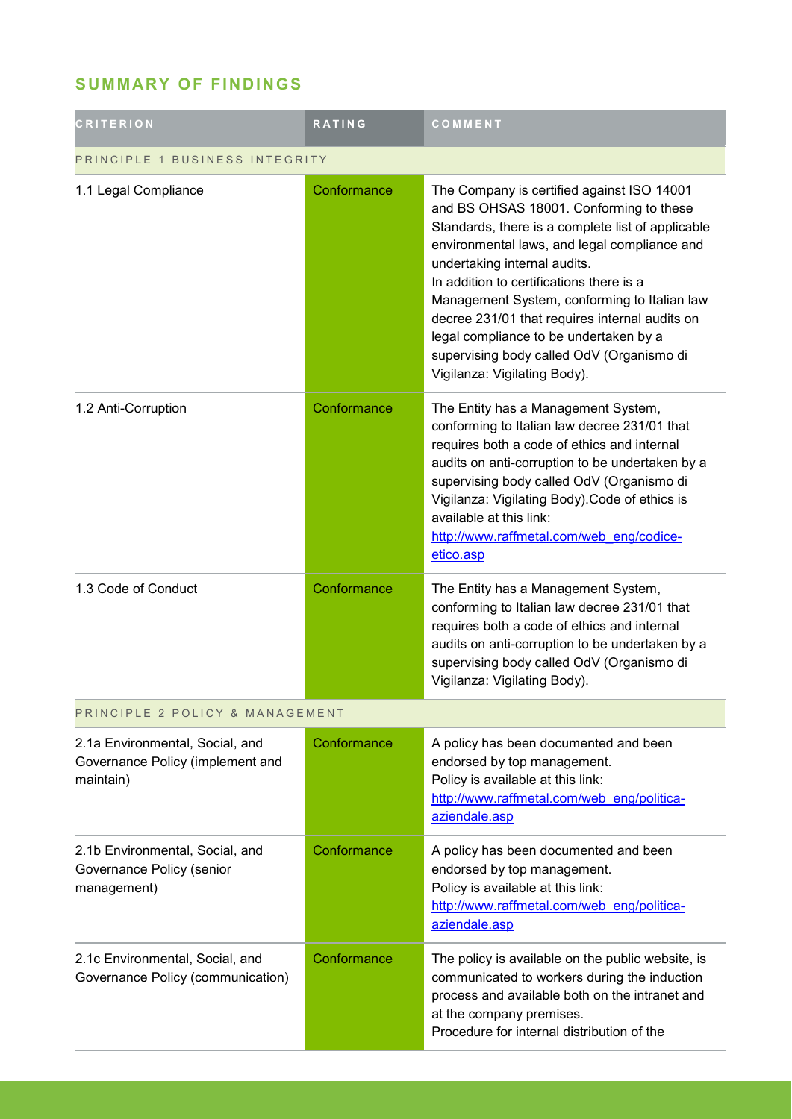## **SUMMARY OF FINDINGS**

| <b>CRITERION</b>                                                                 | <b>RATING</b> | COMMENT                                                                                                                                                                                                                                                                                                                                                                                                                                                                                         |  |
|----------------------------------------------------------------------------------|---------------|-------------------------------------------------------------------------------------------------------------------------------------------------------------------------------------------------------------------------------------------------------------------------------------------------------------------------------------------------------------------------------------------------------------------------------------------------------------------------------------------------|--|
| PRINCIPLE 1 BUSINESS INTEGRITY                                                   |               |                                                                                                                                                                                                                                                                                                                                                                                                                                                                                                 |  |
| 1.1 Legal Compliance                                                             | Conformance   | The Company is certified against ISO 14001<br>and BS OHSAS 18001. Conforming to these<br>Standards, there is a complete list of applicable<br>environmental laws, and legal compliance and<br>undertaking internal audits.<br>In addition to certifications there is a<br>Management System, conforming to Italian law<br>decree 231/01 that requires internal audits on<br>legal compliance to be undertaken by a<br>supervising body called OdV (Organismo di<br>Vigilanza: Vigilating Body). |  |
| 1.2 Anti-Corruption                                                              | Conformance   | The Entity has a Management System,<br>conforming to Italian law decree 231/01 that<br>requires both a code of ethics and internal<br>audits on anti-corruption to be undertaken by a<br>supervising body called OdV (Organismo di<br>Vigilanza: Vigilating Body). Code of ethics is<br>available at this link:<br>http://www.raffmetal.com/web eng/codice-<br>etico.asp                                                                                                                        |  |
| 1.3 Code of Conduct                                                              | Conformance   | The Entity has a Management System,<br>conforming to Italian law decree 231/01 that<br>requires both a code of ethics and internal<br>audits on anti-corruption to be undertaken by a<br>supervising body called OdV (Organismo di<br>Vigilanza: Vigilating Body).                                                                                                                                                                                                                              |  |
| PRINCIPLE 2 POLICY & MANAGEMENT                                                  |               |                                                                                                                                                                                                                                                                                                                                                                                                                                                                                                 |  |
| 2.1a Environmental, Social, and<br>Governance Policy (implement and<br>maintain) | Conformance   | A policy has been documented and been<br>endorsed by top management.<br>Policy is available at this link:<br>http://www.raffmetal.com/web_eng/politica-<br>aziendale.asp                                                                                                                                                                                                                                                                                                                        |  |
| 2.1b Environmental, Social, and<br>Governance Policy (senior<br>management)      | Conformance   | A policy has been documented and been<br>endorsed by top management.<br>Policy is available at this link:<br>http://www.raffmetal.com/web eng/politica-<br>aziendale.asp                                                                                                                                                                                                                                                                                                                        |  |
| 2.1c Environmental, Social, and<br>Governance Policy (communication)             | Conformance   | The policy is available on the public website, is<br>communicated to workers during the induction<br>process and available both on the intranet and<br>at the company premises.<br>Procedure for internal distribution of the                                                                                                                                                                                                                                                                   |  |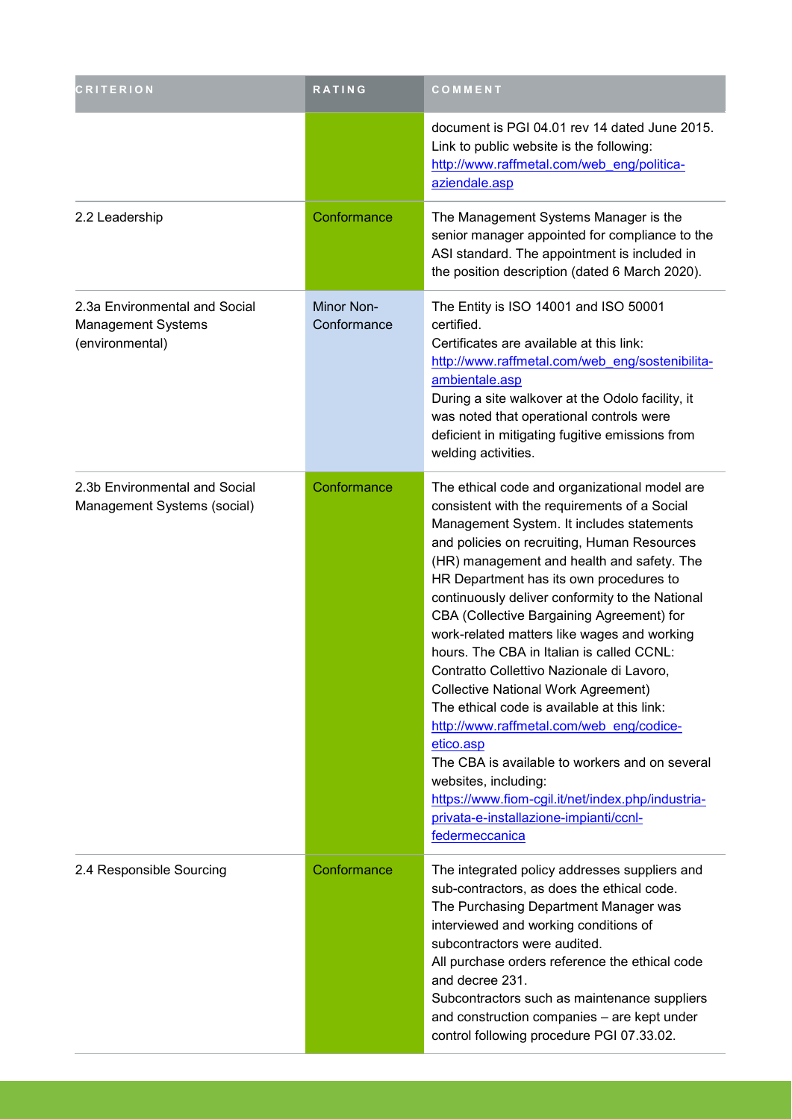| <b>CRITERION</b>                                                              | RATING                    | COMMENT                                                                                                                                                                                                                                                                                                                                                                                                                                                                                                                                                                                                                                                                                                                                                                                                                                                                      |
|-------------------------------------------------------------------------------|---------------------------|------------------------------------------------------------------------------------------------------------------------------------------------------------------------------------------------------------------------------------------------------------------------------------------------------------------------------------------------------------------------------------------------------------------------------------------------------------------------------------------------------------------------------------------------------------------------------------------------------------------------------------------------------------------------------------------------------------------------------------------------------------------------------------------------------------------------------------------------------------------------------|
|                                                                               |                           | document is PGI 04.01 rev 14 dated June 2015.<br>Link to public website is the following:<br>http://www.raffmetal.com/web eng/politica-<br>aziendale.asp                                                                                                                                                                                                                                                                                                                                                                                                                                                                                                                                                                                                                                                                                                                     |
| 2.2 Leadership                                                                | Conformance               | The Management Systems Manager is the<br>senior manager appointed for compliance to the<br>ASI standard. The appointment is included in<br>the position description (dated 6 March 2020).                                                                                                                                                                                                                                                                                                                                                                                                                                                                                                                                                                                                                                                                                    |
| 2.3a Environmental and Social<br><b>Management Systems</b><br>(environmental) | Minor Non-<br>Conformance | The Entity is ISO 14001 and ISO 50001<br>certified.<br>Certificates are available at this link:<br>http://www.raffmetal.com/web eng/sostenibilita-<br>ambientale.asp<br>During a site walkover at the Odolo facility, it<br>was noted that operational controls were<br>deficient in mitigating fugitive emissions from<br>welding activities.                                                                                                                                                                                                                                                                                                                                                                                                                                                                                                                               |
| 2.3b Environmental and Social<br>Management Systems (social)                  | Conformance               | The ethical code and organizational model are<br>consistent with the requirements of a Social<br>Management System. It includes statements<br>and policies on recruiting, Human Resources<br>(HR) management and health and safety. The<br>HR Department has its own procedures to<br>continuously deliver conformity to the National<br>CBA (Collective Bargaining Agreement) for<br>work-related matters like wages and working<br>hours. The CBA in Italian is called CCNL:<br>Contratto Collettivo Nazionale di Lavoro,<br><b>Collective National Work Agreement)</b><br>The ethical code is available at this link:<br>http://www.raffmetal.com/web eng/codice-<br>etico.asp<br>The CBA is available to workers and on several<br>websites, including:<br>https://www.fiom-cgil.it/net/index.php/industria-<br>privata-e-installazione-impianti/ccnl-<br>federmeccanica |
| 2.4 Responsible Sourcing                                                      | Conformance               | The integrated policy addresses suppliers and<br>sub-contractors, as does the ethical code.<br>The Purchasing Department Manager was<br>interviewed and working conditions of<br>subcontractors were audited.<br>All purchase orders reference the ethical code<br>and decree 231.<br>Subcontractors such as maintenance suppliers<br>and construction companies - are kept under<br>control following procedure PGI 07.33.02.                                                                                                                                                                                                                                                                                                                                                                                                                                               |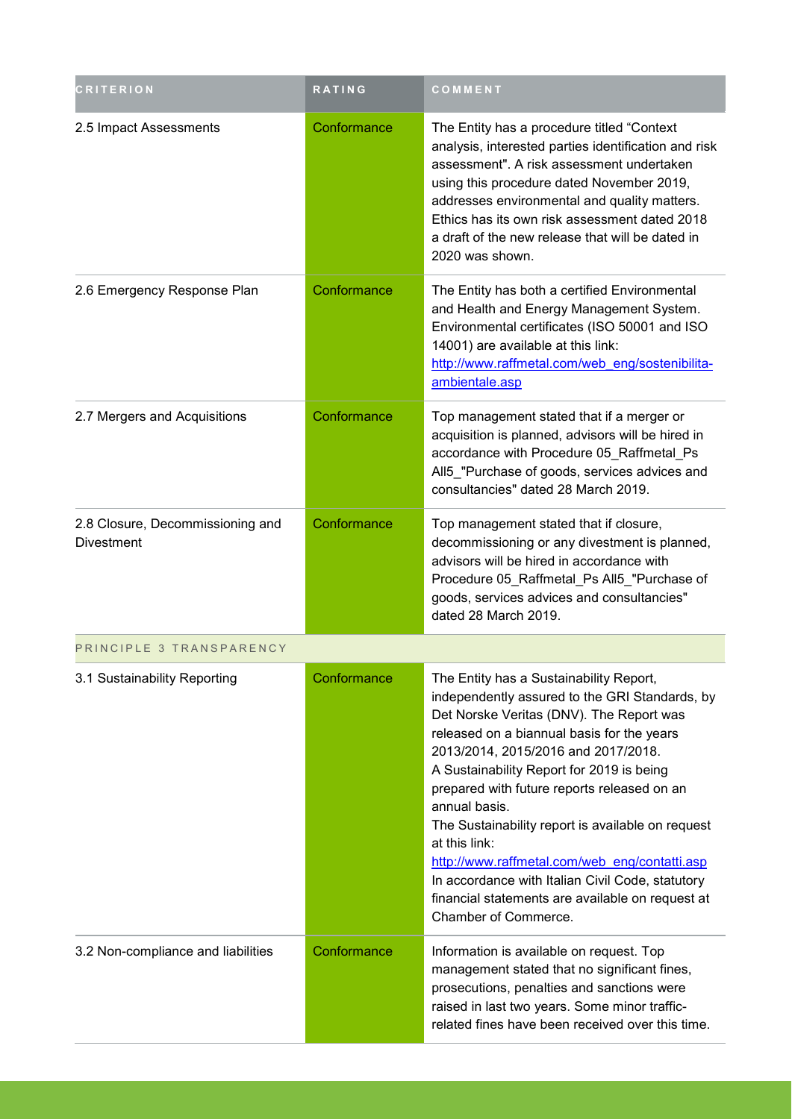| <b>CRITERION</b>                                      | RATING      | COMMENT                                                                                                                                                                                                                                                                                                                                                                                                                                                                                                                                                                                        |
|-------------------------------------------------------|-------------|------------------------------------------------------------------------------------------------------------------------------------------------------------------------------------------------------------------------------------------------------------------------------------------------------------------------------------------------------------------------------------------------------------------------------------------------------------------------------------------------------------------------------------------------------------------------------------------------|
| 2.5 Impact Assessments                                | Conformance | The Entity has a procedure titled "Context<br>analysis, interested parties identification and risk<br>assessment". A risk assessment undertaken<br>using this procedure dated November 2019,<br>addresses environmental and quality matters.<br>Ethics has its own risk assessment dated 2018<br>a draft of the new release that will be dated in<br>2020 was shown.                                                                                                                                                                                                                           |
| 2.6 Emergency Response Plan                           | Conformance | The Entity has both a certified Environmental<br>and Health and Energy Management System.<br>Environmental certificates (ISO 50001 and ISO<br>14001) are available at this link:<br>http://www.raffmetal.com/web eng/sostenibilita-<br>ambientale.asp                                                                                                                                                                                                                                                                                                                                          |
| 2.7 Mergers and Acquisitions                          | Conformance | Top management stated that if a merger or<br>acquisition is planned, advisors will be hired in<br>accordance with Procedure 05 Raffmetal Ps<br>All5_"Purchase of goods, services advices and<br>consultancies" dated 28 March 2019.                                                                                                                                                                                                                                                                                                                                                            |
| 2.8 Closure, Decommissioning and<br><b>Divestment</b> | Conformance | Top management stated that if closure,<br>decommissioning or any divestment is planned,<br>advisors will be hired in accordance with<br>Procedure 05_Raffmetal_Ps All5_"Purchase of<br>goods, services advices and consultancies"<br>dated 28 March 2019.                                                                                                                                                                                                                                                                                                                                      |
| PRINCIPLE 3 TRANSPARENCY                              |             |                                                                                                                                                                                                                                                                                                                                                                                                                                                                                                                                                                                                |
| 3.1 Sustainability Reporting                          | Conformance | The Entity has a Sustainability Report,<br>independently assured to the GRI Standards, by<br>Det Norske Veritas (DNV). The Report was<br>released on a biannual basis for the years<br>2013/2014, 2015/2016 and 2017/2018.<br>A Sustainability Report for 2019 is being<br>prepared with future reports released on an<br>annual basis.<br>The Sustainability report is available on request<br>at this link:<br>http://www.raffmetal.com/web eng/contatti.asp<br>In accordance with Italian Civil Code, statutory<br>financial statements are available on request at<br>Chamber of Commerce. |
| 3.2 Non-compliance and liabilities                    | Conformance | Information is available on request. Top<br>management stated that no significant fines,<br>prosecutions, penalties and sanctions were<br>raised in last two years. Some minor traffic-<br>related fines have been received over this time.                                                                                                                                                                                                                                                                                                                                                    |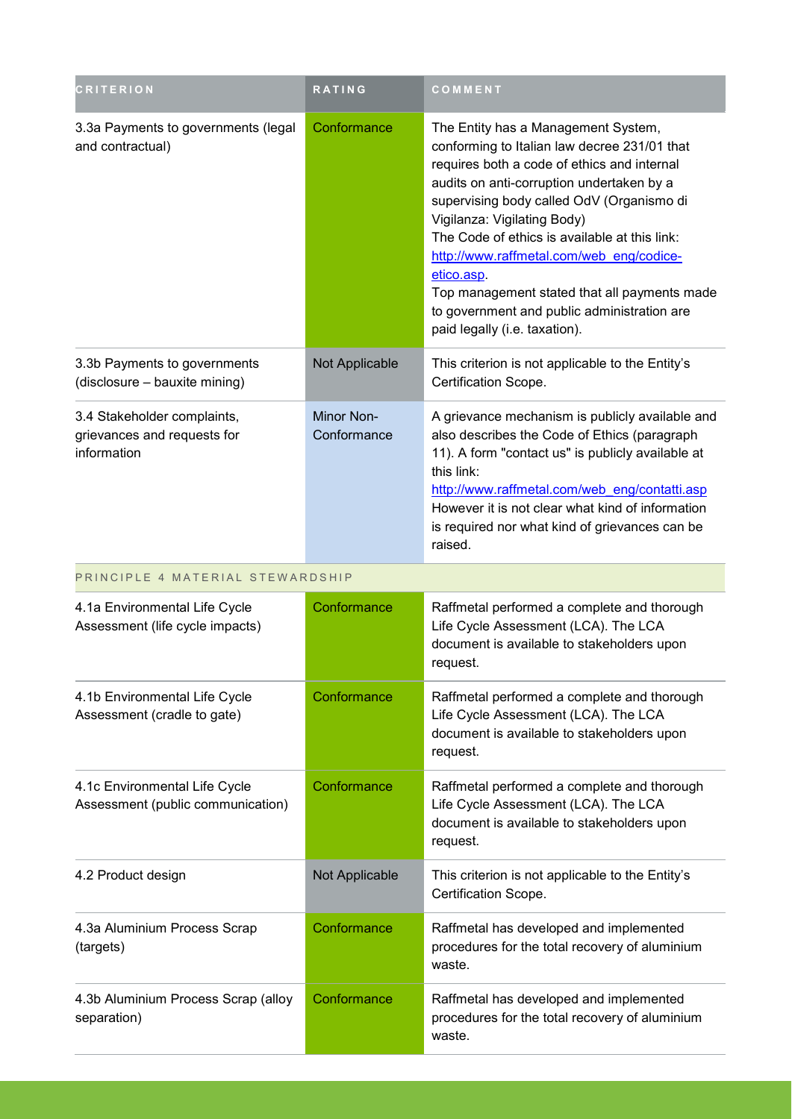| <b>CRITERION</b>                                                          | RATING                    | COMMENT                                                                                                                                                                                                                                                                                                                                                                                                                                                                                                |
|---------------------------------------------------------------------------|---------------------------|--------------------------------------------------------------------------------------------------------------------------------------------------------------------------------------------------------------------------------------------------------------------------------------------------------------------------------------------------------------------------------------------------------------------------------------------------------------------------------------------------------|
| 3.3a Payments to governments (legal<br>and contractual)                   | Conformance               | The Entity has a Management System,<br>conforming to Italian law decree 231/01 that<br>requires both a code of ethics and internal<br>audits on anti-corruption undertaken by a<br>supervising body called OdV (Organismo di<br>Vigilanza: Vigilating Body)<br>The Code of ethics is available at this link:<br>http://www.raffmetal.com/web eng/codice-<br>etico.asp.<br>Top management stated that all payments made<br>to government and public administration are<br>paid legally (i.e. taxation). |
| 3.3b Payments to governments<br>(disclosure - bauxite mining)             | Not Applicable            | This criterion is not applicable to the Entity's<br>Certification Scope.                                                                                                                                                                                                                                                                                                                                                                                                                               |
| 3.4 Stakeholder complaints,<br>grievances and requests for<br>information | Minor Non-<br>Conformance | A grievance mechanism is publicly available and<br>also describes the Code of Ethics (paragraph<br>11). A form "contact us" is publicly available at<br>this link:<br>http://www.raffmetal.com/web eng/contatti.asp<br>However it is not clear what kind of information<br>is required nor what kind of grievances can be<br>raised.                                                                                                                                                                   |
| PRINCIPLE 4 MATERIAL STEWARDSHIP                                          |                           |                                                                                                                                                                                                                                                                                                                                                                                                                                                                                                        |
| 4.1a Environmental Life Cycle<br>Assessment (life cycle impacts)          | Conformance               | Raffmetal performed a complete and thorough<br>Life Cycle Assessment (LCA). The LCA<br>document is available to stakeholders upon<br>request.                                                                                                                                                                                                                                                                                                                                                          |
| 4.1b Environmental Life Cycle<br>Assessment (cradle to gate)              | Conformance               | Raffmetal performed a complete and thorough<br>Life Cycle Assessment (LCA). The LCA<br>document is available to stakeholders upon<br>request.                                                                                                                                                                                                                                                                                                                                                          |
| 4.1c Environmental Life Cycle<br>Assessment (public communication)        | Conformance               | Raffmetal performed a complete and thorough<br>Life Cycle Assessment (LCA). The LCA<br>document is available to stakeholders upon<br>request.                                                                                                                                                                                                                                                                                                                                                          |
| 4.2 Product design                                                        | Not Applicable            | This criterion is not applicable to the Entity's<br>Certification Scope.                                                                                                                                                                                                                                                                                                                                                                                                                               |
| 4.3a Aluminium Process Scrap<br>(targets)                                 | Conformance               | Raffmetal has developed and implemented<br>procedures for the total recovery of aluminium<br>waste.                                                                                                                                                                                                                                                                                                                                                                                                    |
| 4.3b Aluminium Process Scrap (alloy<br>separation)                        | Conformance               | Raffmetal has developed and implemented<br>procedures for the total recovery of aluminium<br>waste.                                                                                                                                                                                                                                                                                                                                                                                                    |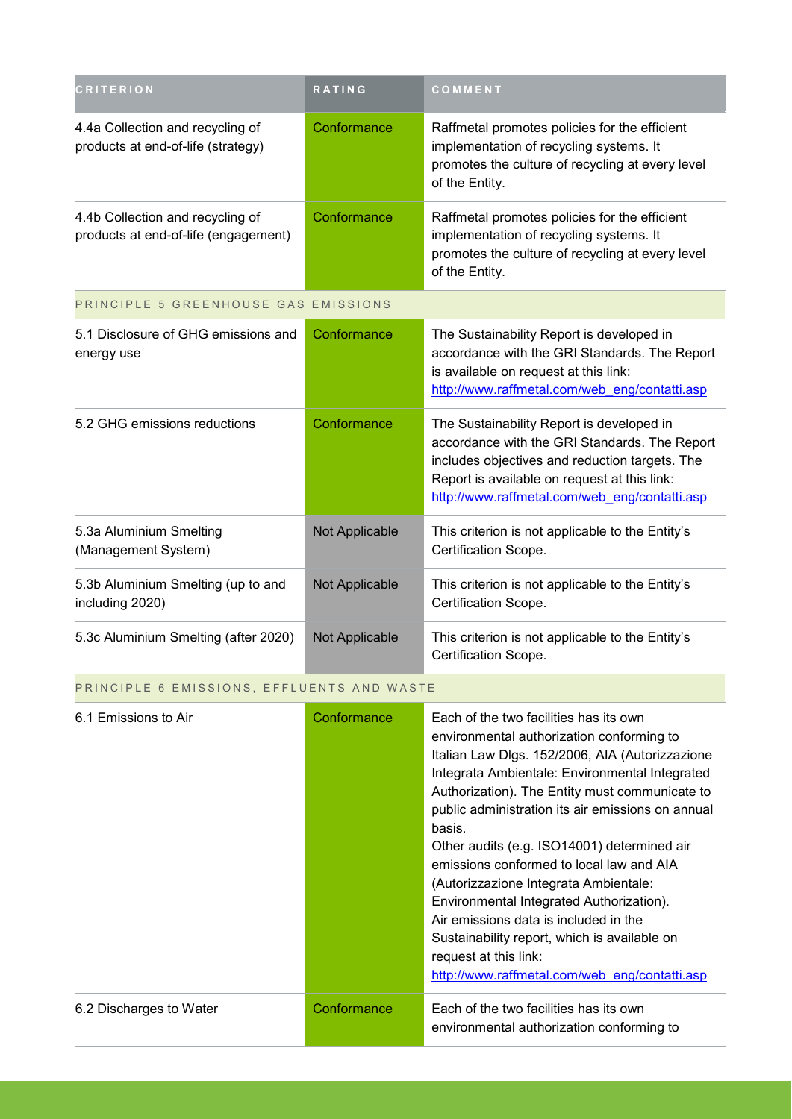| <b>CRITERION</b>                                                         | RATING         | COMMENT                                                                                                                                                                                                                                       |
|--------------------------------------------------------------------------|----------------|-----------------------------------------------------------------------------------------------------------------------------------------------------------------------------------------------------------------------------------------------|
| 4.4a Collection and recycling of<br>products at end-of-life (strategy)   | Conformance    | Raffmetal promotes policies for the efficient<br>implementation of recycling systems. It<br>promotes the culture of recycling at every level<br>of the Entity.                                                                                |
| 4.4b Collection and recycling of<br>products at end-of-life (engagement) | Conformance    | Raffmetal promotes policies for the efficient<br>implementation of recycling systems. It<br>promotes the culture of recycling at every level<br>of the Entity.                                                                                |
| PRINCIPLE 5 GREENHOUSE GAS EMISSIONS                                     |                |                                                                                                                                                                                                                                               |
| 5.1 Disclosure of GHG emissions and<br>energy use                        | Conformance    | The Sustainability Report is developed in<br>accordance with the GRI Standards. The Report<br>is available on request at this link:<br>http://www.raffmetal.com/web_eng/contatti.asp                                                          |
| 5.2 GHG emissions reductions                                             | Conformance    | The Sustainability Report is developed in<br>accordance with the GRI Standards. The Report<br>includes objectives and reduction targets. The<br>Report is available on request at this link:<br>http://www.raffmetal.com/web eng/contatti.asp |
| 5.3a Aluminium Smelting<br>(Management System)                           | Not Applicable | This criterion is not applicable to the Entity's<br>Certification Scope.                                                                                                                                                                      |
| 5.3b Aluminium Smelting (up to and<br>including 2020)                    | Not Applicable | This criterion is not applicable to the Entity's<br>Certification Scope.                                                                                                                                                                      |
| 5.3c Aluminium Smelting (after 2020)                                     | Not Applicable | This criterion is not applicable to the Entity's<br>Certification Scope.                                                                                                                                                                      |

### PRINCIPLE 6 EMISSIONS, EFFLUENTS AND WASTE

| 6.1 Emissions to Air    | Conformance | Each of the two facilities has its own<br>environmental authorization conforming to<br>Italian Law Dlgs. 152/2006, AIA (Autorizzazione<br>Integrata Ambientale: Environmental Integrated<br>Authorization). The Entity must communicate to<br>public administration its air emissions on annual<br>basis.<br>Other audits (e.g. ISO14001) determined air<br>emissions conformed to local law and AIA<br>(Autorizzazione Integrata Ambientale:<br>Environmental Integrated Authorization).<br>Air emissions data is included in the<br>Sustainability report, which is available on<br>request at this link:<br>http://www.raffmetal.com/web eng/contatti.asp |
|-------------------------|-------------|--------------------------------------------------------------------------------------------------------------------------------------------------------------------------------------------------------------------------------------------------------------------------------------------------------------------------------------------------------------------------------------------------------------------------------------------------------------------------------------------------------------------------------------------------------------------------------------------------------------------------------------------------------------|
| 6.2 Discharges to Water | Conformance | Each of the two facilities has its own<br>environmental authorization conforming to                                                                                                                                                                                                                                                                                                                                                                                                                                                                                                                                                                          |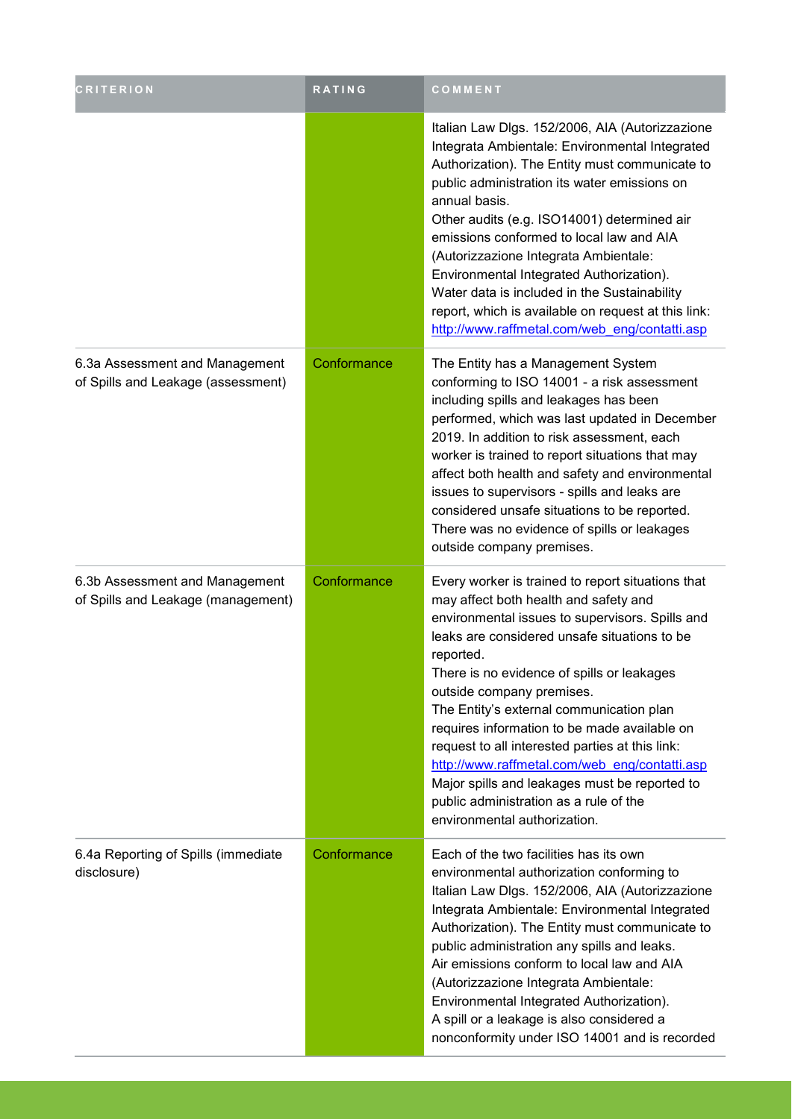| <b>CRITERION</b>                                                     | <b>RATING</b> | COMMENT                                                                                                                                                                                                                                                                                                                                                                                                                                                                                                                                                                                                          |
|----------------------------------------------------------------------|---------------|------------------------------------------------------------------------------------------------------------------------------------------------------------------------------------------------------------------------------------------------------------------------------------------------------------------------------------------------------------------------------------------------------------------------------------------------------------------------------------------------------------------------------------------------------------------------------------------------------------------|
|                                                                      |               | Italian Law Dlgs. 152/2006, AIA (Autorizzazione<br>Integrata Ambientale: Environmental Integrated<br>Authorization). The Entity must communicate to<br>public administration its water emissions on<br>annual basis.<br>Other audits (e.g. ISO14001) determined air<br>emissions conformed to local law and AIA<br>(Autorizzazione Integrata Ambientale:<br>Environmental Integrated Authorization).<br>Water data is included in the Sustainability<br>report, which is available on request at this link:<br>http://www.raffmetal.com/web eng/contatti.asp                                                     |
| 6.3a Assessment and Management<br>of Spills and Leakage (assessment) | Conformance   | The Entity has a Management System<br>conforming to ISO 14001 - a risk assessment<br>including spills and leakages has been<br>performed, which was last updated in December<br>2019. In addition to risk assessment, each<br>worker is trained to report situations that may<br>affect both health and safety and environmental<br>issues to supervisors - spills and leaks are<br>considered unsafe situations to be reported.<br>There was no evidence of spills or leakages<br>outside company premises.                                                                                                     |
| 6.3b Assessment and Management<br>of Spills and Leakage (management) | Conformance   | Every worker is trained to report situations that<br>may affect both health and safety and<br>environmental issues to supervisors. Spills and<br>leaks are considered unsafe situations to be<br>reported.<br>There is no evidence of spills or leakages<br>outside company premises.<br>The Entity's external communication plan<br>requires information to be made available on<br>request to all interested parties at this link:<br>http://www.raffmetal.com/web eng/contatti.asp<br>Major spills and leakages must be reported to<br>public administration as a rule of the<br>environmental authorization. |
| 6.4a Reporting of Spills (immediate<br>disclosure)                   | Conformance   | Each of the two facilities has its own<br>environmental authorization conforming to<br>Italian Law Dlgs. 152/2006, AIA (Autorizzazione<br>Integrata Ambientale: Environmental Integrated<br>Authorization). The Entity must communicate to<br>public administration any spills and leaks.<br>Air emissions conform to local law and AIA<br>(Autorizzazione Integrata Ambientale:<br>Environmental Integrated Authorization).<br>A spill or a leakage is also considered a<br>nonconformity under ISO 14001 and is recorded                                                                                       |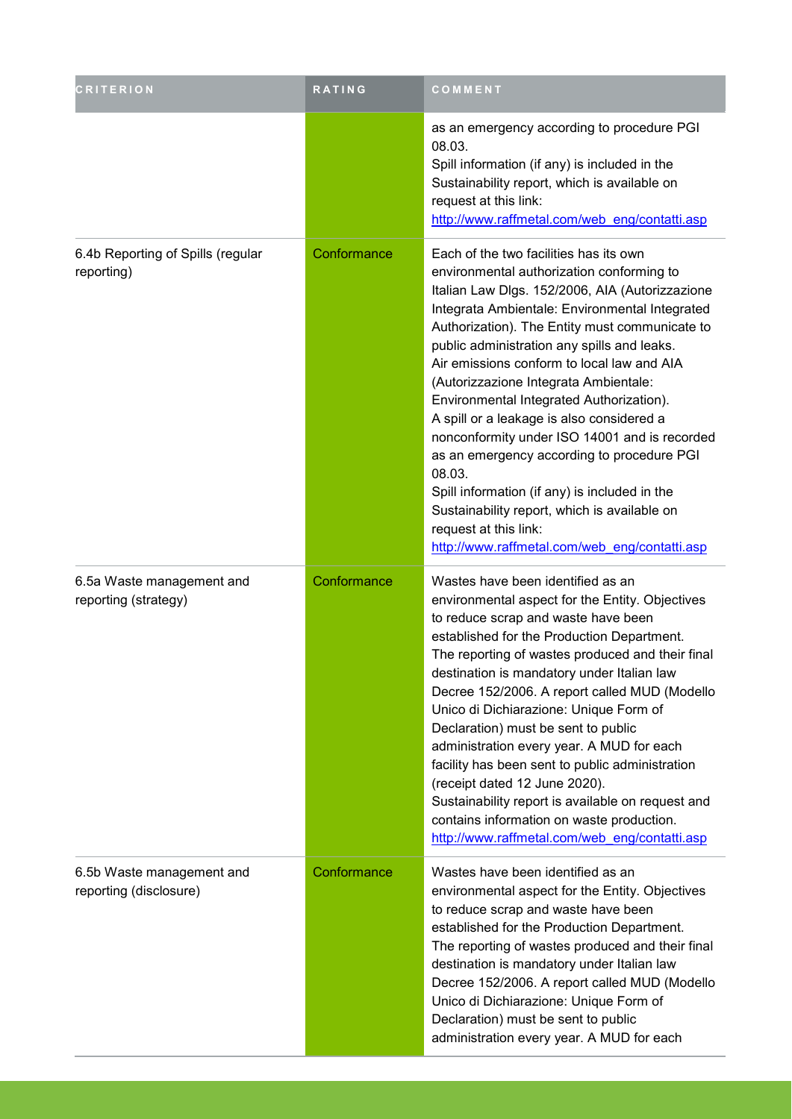| <b>CRITERION</b>                                    | RATING      | COMMENT                                                                                                                                                                                                                                                                                                                                                                                                                                                                                                                                                                                                                                                                                                                                                       |
|-----------------------------------------------------|-------------|---------------------------------------------------------------------------------------------------------------------------------------------------------------------------------------------------------------------------------------------------------------------------------------------------------------------------------------------------------------------------------------------------------------------------------------------------------------------------------------------------------------------------------------------------------------------------------------------------------------------------------------------------------------------------------------------------------------------------------------------------------------|
|                                                     |             | as an emergency according to procedure PGI<br>08.03.<br>Spill information (if any) is included in the<br>Sustainability report, which is available on<br>request at this link:<br>http://www.raffmetal.com/web eng/contatti.asp                                                                                                                                                                                                                                                                                                                                                                                                                                                                                                                               |
| 6.4b Reporting of Spills (regular<br>reporting)     | Conformance | Each of the two facilities has its own<br>environmental authorization conforming to<br>Italian Law Dlgs. 152/2006, AIA (Autorizzazione<br>Integrata Ambientale: Environmental Integrated<br>Authorization). The Entity must communicate to<br>public administration any spills and leaks.<br>Air emissions conform to local law and AIA<br>(Autorizzazione Integrata Ambientale:<br>Environmental Integrated Authorization).<br>A spill or a leakage is also considered a<br>nonconformity under ISO 14001 and is recorded<br>as an emergency according to procedure PGI<br>08.03.<br>Spill information (if any) is included in the<br>Sustainability report, which is available on<br>request at this link:<br>http://www.raffmetal.com/web_eng/contatti.asp |
| 6.5a Waste management and<br>reporting (strategy)   | Conformance | Wastes have been identified as an<br>environmental aspect for the Entity. Objectives<br>to reduce scrap and waste have been<br>established for the Production Department.<br>The reporting of wastes produced and their final<br>destination is mandatory under Italian law<br>Decree 152/2006. A report called MUD (Modello<br>Unico di Dichiarazione: Unique Form of<br>Declaration) must be sent to public<br>administration every year. A MUD for each<br>facility has been sent to public administration<br>(receipt dated 12 June 2020).<br>Sustainability report is available on request and<br>contains information on waste production.<br>http://www.raffmetal.com/web eng/contatti.asp                                                             |
| 6.5b Waste management and<br>reporting (disclosure) | Conformance | Wastes have been identified as an<br>environmental aspect for the Entity. Objectives<br>to reduce scrap and waste have been<br>established for the Production Department.<br>The reporting of wastes produced and their final<br>destination is mandatory under Italian law<br>Decree 152/2006. A report called MUD (Modello<br>Unico di Dichiarazione: Unique Form of<br>Declaration) must be sent to public<br>administration every year. A MUD for each                                                                                                                                                                                                                                                                                                    |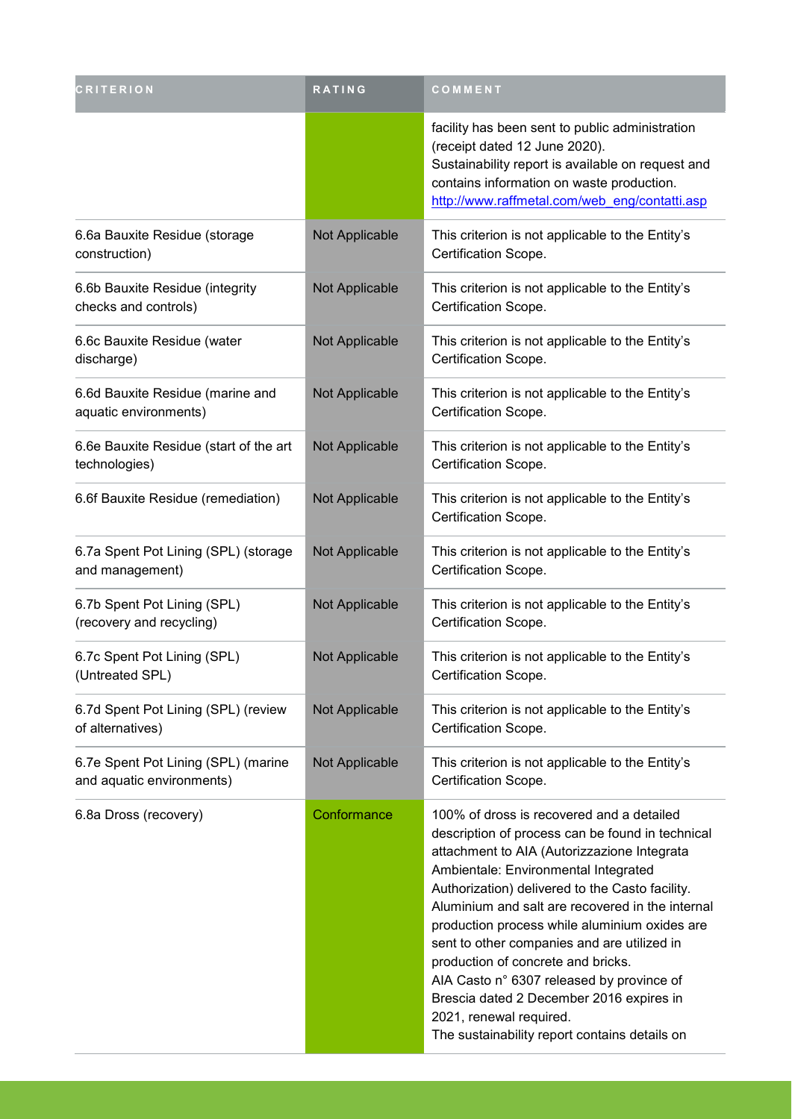| <b>CRITERION</b>                                                 | RATING         | COMMENT                                                                                                                                                                                                                                                                                                                                                                                                                                                                                                                                                                                                |
|------------------------------------------------------------------|----------------|--------------------------------------------------------------------------------------------------------------------------------------------------------------------------------------------------------------------------------------------------------------------------------------------------------------------------------------------------------------------------------------------------------------------------------------------------------------------------------------------------------------------------------------------------------------------------------------------------------|
|                                                                  |                | facility has been sent to public administration<br>(receipt dated 12 June 2020).<br>Sustainability report is available on request and<br>contains information on waste production.<br>http://www.raffmetal.com/web eng/contatti.asp                                                                                                                                                                                                                                                                                                                                                                    |
| 6.6a Bauxite Residue (storage<br>construction)                   | Not Applicable | This criterion is not applicable to the Entity's<br>Certification Scope.                                                                                                                                                                                                                                                                                                                                                                                                                                                                                                                               |
| 6.6b Bauxite Residue (integrity<br>checks and controls)          | Not Applicable | This criterion is not applicable to the Entity's<br>Certification Scope.                                                                                                                                                                                                                                                                                                                                                                                                                                                                                                                               |
| 6.6c Bauxite Residue (water<br>discharge)                        | Not Applicable | This criterion is not applicable to the Entity's<br>Certification Scope.                                                                                                                                                                                                                                                                                                                                                                                                                                                                                                                               |
| 6.6d Bauxite Residue (marine and<br>aquatic environments)        | Not Applicable | This criterion is not applicable to the Entity's<br>Certification Scope.                                                                                                                                                                                                                                                                                                                                                                                                                                                                                                                               |
| 6.6e Bauxite Residue (start of the art<br>technologies)          | Not Applicable | This criterion is not applicable to the Entity's<br>Certification Scope.                                                                                                                                                                                                                                                                                                                                                                                                                                                                                                                               |
| 6.6f Bauxite Residue (remediation)                               | Not Applicable | This criterion is not applicable to the Entity's<br>Certification Scope.                                                                                                                                                                                                                                                                                                                                                                                                                                                                                                                               |
| 6.7a Spent Pot Lining (SPL) (storage<br>and management)          | Not Applicable | This criterion is not applicable to the Entity's<br>Certification Scope.                                                                                                                                                                                                                                                                                                                                                                                                                                                                                                                               |
| 6.7b Spent Pot Lining (SPL)<br>(recovery and recycling)          | Not Applicable | This criterion is not applicable to the Entity's<br>Certification Scope.                                                                                                                                                                                                                                                                                                                                                                                                                                                                                                                               |
| 6.7c Spent Pot Lining (SPL)<br>(Untreated SPL)                   | Not Applicable | This criterion is not applicable to the Entity's<br>Certification Scope.                                                                                                                                                                                                                                                                                                                                                                                                                                                                                                                               |
| 6.7d Spent Pot Lining (SPL) (review<br>of alternatives)          | Not Applicable | This criterion is not applicable to the Entity's<br>Certification Scope.                                                                                                                                                                                                                                                                                                                                                                                                                                                                                                                               |
| 6.7e Spent Pot Lining (SPL) (marine<br>and aquatic environments) | Not Applicable | This criterion is not applicable to the Entity's<br>Certification Scope.                                                                                                                                                                                                                                                                                                                                                                                                                                                                                                                               |
| 6.8a Dross (recovery)                                            | Conformance    | 100% of dross is recovered and a detailed<br>description of process can be found in technical<br>attachment to AIA (Autorizzazione Integrata<br>Ambientale: Environmental Integrated<br>Authorization) delivered to the Casto facility.<br>Aluminium and salt are recovered in the internal<br>production process while aluminium oxides are<br>sent to other companies and are utilized in<br>production of concrete and bricks.<br>AIA Casto n° 6307 released by province of<br>Brescia dated 2 December 2016 expires in<br>2021, renewal required.<br>The sustainability report contains details on |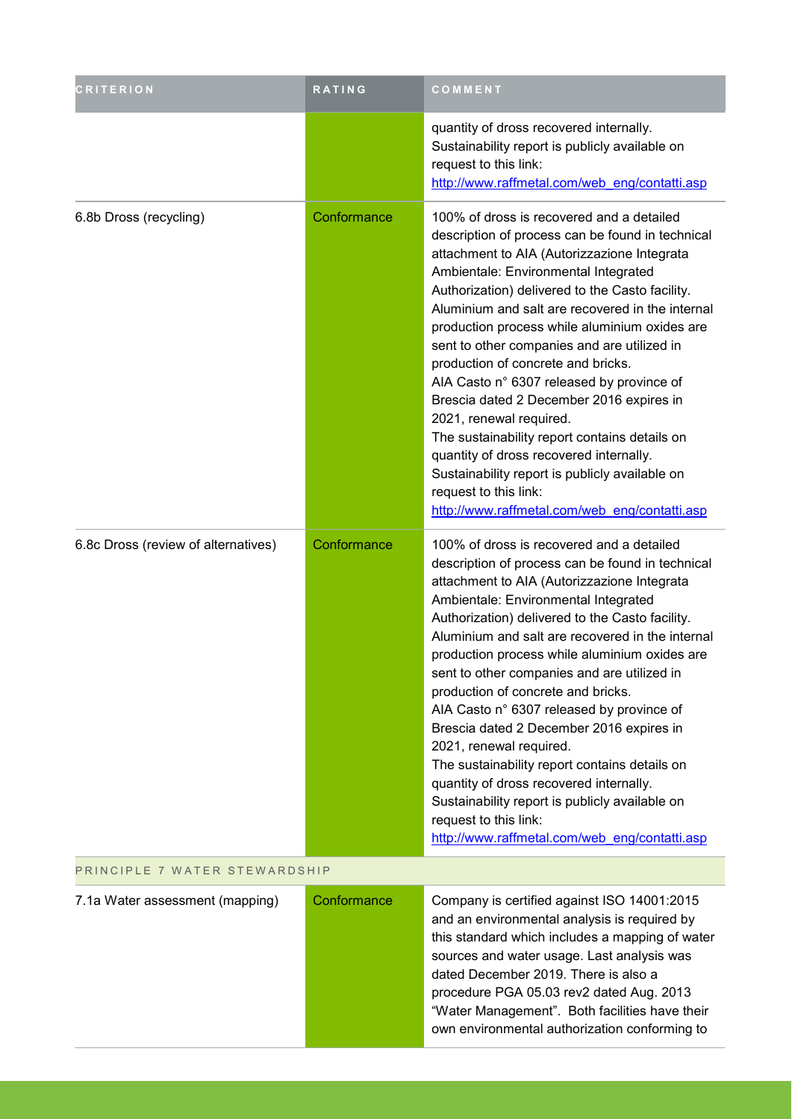| <b>CRITERION</b>                    | RATING      | COMMENT                                                                                                                                                                                                                                                                                                                                                                                                                                                                                                                                                                                                                                                                                                                                                                       |  |
|-------------------------------------|-------------|-------------------------------------------------------------------------------------------------------------------------------------------------------------------------------------------------------------------------------------------------------------------------------------------------------------------------------------------------------------------------------------------------------------------------------------------------------------------------------------------------------------------------------------------------------------------------------------------------------------------------------------------------------------------------------------------------------------------------------------------------------------------------------|--|
|                                     |             | quantity of dross recovered internally.<br>Sustainability report is publicly available on<br>request to this link:<br>http://www.raffmetal.com/web eng/contatti.asp                                                                                                                                                                                                                                                                                                                                                                                                                                                                                                                                                                                                           |  |
| 6.8b Dross (recycling)              | Conformance | 100% of dross is recovered and a detailed<br>description of process can be found in technical<br>attachment to AIA (Autorizzazione Integrata<br>Ambientale: Environmental Integrated<br>Authorization) delivered to the Casto facility.<br>Aluminium and salt are recovered in the internal<br>production process while aluminium oxides are<br>sent to other companies and are utilized in<br>production of concrete and bricks.<br>AIA Casto n° 6307 released by province of<br>Brescia dated 2 December 2016 expires in<br>2021, renewal required.<br>The sustainability report contains details on<br>quantity of dross recovered internally.<br>Sustainability report is publicly available on<br>request to this link:<br>http://www.raffmetal.com/web eng/contatti.asp |  |
| 6.8c Dross (review of alternatives) | Conformance | 100% of dross is recovered and a detailed<br>description of process can be found in technical<br>attachment to AIA (Autorizzazione Integrata<br>Ambientale: Environmental Integrated<br>Authorization) delivered to the Casto facility.<br>Aluminium and salt are recovered in the internal<br>production process while aluminium oxides are<br>sent to other companies and are utilized in<br>production of concrete and bricks.<br>AIA Casto n° 6307 released by province of<br>Brescia dated 2 December 2016 expires in<br>2021, renewal required.<br>The sustainability report contains details on<br>quantity of dross recovered internally.<br>Sustainability report is publicly available on<br>request to this link:<br>http://www.raffmetal.com/web eng/contatti.asp |  |
| PRINCIPLE 7 WATER STEWARDSHIP       |             |                                                                                                                                                                                                                                                                                                                                                                                                                                                                                                                                                                                                                                                                                                                                                                               |  |
| 7.1a Water assessment (mapping)     | Conformance | Company is certified against ISO 14001:2015<br>and an environmental analysis is required by<br>this standard which includes a mapping of water<br>sources and water usage. Last analysis was<br>dated December 2019. There is also a<br>procedure PGA 05.03 rev2 dated Aug. 2013<br>"Water Management". Both facilities have their<br>own environmental authorization conforming to                                                                                                                                                                                                                                                                                                                                                                                           |  |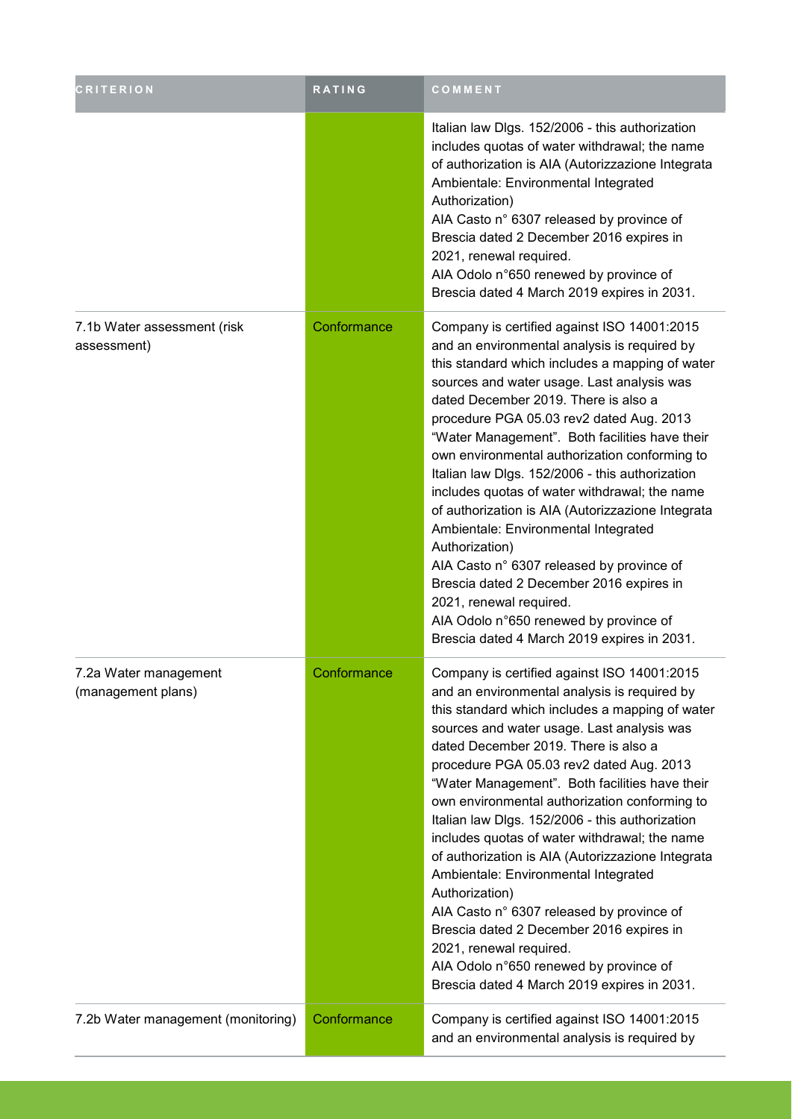| CRITERION                                   | <b>RATING</b> | COMMENT                                                                                                                                                                                                                                                                                                                                                                                                                                                                                                                                                                                                                                                                                                                                                                                                             |
|---------------------------------------------|---------------|---------------------------------------------------------------------------------------------------------------------------------------------------------------------------------------------------------------------------------------------------------------------------------------------------------------------------------------------------------------------------------------------------------------------------------------------------------------------------------------------------------------------------------------------------------------------------------------------------------------------------------------------------------------------------------------------------------------------------------------------------------------------------------------------------------------------|
|                                             |               | Italian law Dlgs. 152/2006 - this authorization<br>includes quotas of water withdrawal; the name<br>of authorization is AIA (Autorizzazione Integrata<br>Ambientale: Environmental Integrated<br>Authorization)<br>AIA Casto n° 6307 released by province of<br>Brescia dated 2 December 2016 expires in<br>2021, renewal required.<br>AIA Odolo n°650 renewed by province of<br>Brescia dated 4 March 2019 expires in 2031.                                                                                                                                                                                                                                                                                                                                                                                        |
| 7.1b Water assessment (risk<br>assessment)  | Conformance   | Company is certified against ISO 14001:2015<br>and an environmental analysis is required by<br>this standard which includes a mapping of water<br>sources and water usage. Last analysis was<br>dated December 2019. There is also a<br>procedure PGA 05.03 rev2 dated Aug. 2013<br>"Water Management". Both facilities have their<br>own environmental authorization conforming to<br>Italian law Dlgs. 152/2006 - this authorization<br>includes quotas of water withdrawal; the name<br>of authorization is AIA (Autorizzazione Integrata<br>Ambientale: Environmental Integrated<br>Authorization)<br>AIA Casto n° 6307 released by province of<br>Brescia dated 2 December 2016 expires in<br>2021, renewal required.<br>AIA Odolo n°650 renewed by province of<br>Brescia dated 4 March 2019 expires in 2031. |
| 7.2a Water management<br>(management plans) | Conformance   | Company is certified against ISO 14001:2015<br>and an environmental analysis is required by<br>this standard which includes a mapping of water<br>sources and water usage. Last analysis was<br>dated December 2019. There is also a<br>procedure PGA 05.03 rev2 dated Aug. 2013<br>"Water Management". Both facilities have their<br>own environmental authorization conforming to<br>Italian law Dlgs. 152/2006 - this authorization<br>includes quotas of water withdrawal; the name<br>of authorization is AIA (Autorizzazione Integrata<br>Ambientale: Environmental Integrated<br>Authorization)<br>AIA Casto n° 6307 released by province of<br>Brescia dated 2 December 2016 expires in<br>2021, renewal required.<br>AIA Odolo n°650 renewed by province of<br>Brescia dated 4 March 2019 expires in 2031. |
| 7.2b Water management (monitoring)          | Conformance   | Company is certified against ISO 14001:2015<br>and an environmental analysis is required by                                                                                                                                                                                                                                                                                                                                                                                                                                                                                                                                                                                                                                                                                                                         |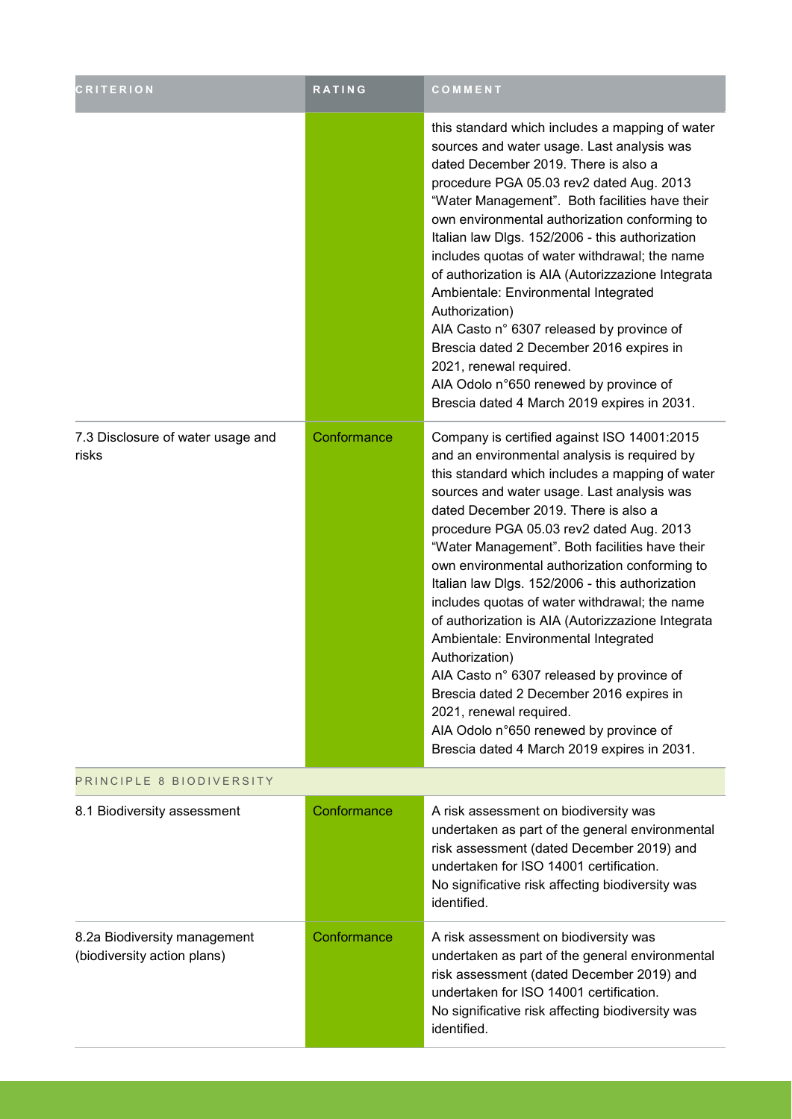| <b>CRITERION</b>                                            | <b>RATING</b> | COMMENT                                                                                                                                                                                                                                                                                                                                                                                                                                                                                                                                                                                                                                                                                                                                                                                                             |
|-------------------------------------------------------------|---------------|---------------------------------------------------------------------------------------------------------------------------------------------------------------------------------------------------------------------------------------------------------------------------------------------------------------------------------------------------------------------------------------------------------------------------------------------------------------------------------------------------------------------------------------------------------------------------------------------------------------------------------------------------------------------------------------------------------------------------------------------------------------------------------------------------------------------|
|                                                             |               | this standard which includes a mapping of water<br>sources and water usage. Last analysis was<br>dated December 2019. There is also a<br>procedure PGA 05.03 rev2 dated Aug. 2013<br>"Water Management". Both facilities have their<br>own environmental authorization conforming to<br>Italian law Dlgs. 152/2006 - this authorization<br>includes quotas of water withdrawal; the name<br>of authorization is AIA (Autorizzazione Integrata<br>Ambientale: Environmental Integrated<br>Authorization)<br>AIA Casto n° 6307 released by province of<br>Brescia dated 2 December 2016 expires in<br>2021, renewal required.<br>AIA Odolo n°650 renewed by province of<br>Brescia dated 4 March 2019 expires in 2031.                                                                                                |
| 7.3 Disclosure of water usage and<br>risks                  | Conformance   | Company is certified against ISO 14001:2015<br>and an environmental analysis is required by<br>this standard which includes a mapping of water<br>sources and water usage. Last analysis was<br>dated December 2019. There is also a<br>procedure PGA 05.03 rev2 dated Aug. 2013<br>"Water Management". Both facilities have their<br>own environmental authorization conforming to<br>Italian law Dlgs. 152/2006 - this authorization<br>includes quotas of water withdrawal; the name<br>of authorization is AIA (Autorizzazione Integrata<br>Ambientale: Environmental Integrated<br>Authorization)<br>AIA Casto n° 6307 released by province of<br>Brescia dated 2 December 2016 expires in<br>2021, renewal required.<br>AIA Odolo n°650 renewed by province of<br>Brescia dated 4 March 2019 expires in 2031. |
| PRINCIPLE 8 BIODIVERSITY                                    |               |                                                                                                                                                                                                                                                                                                                                                                                                                                                                                                                                                                                                                                                                                                                                                                                                                     |
| 8.1 Biodiversity assessment                                 | Conformance   | A risk assessment on biodiversity was<br>undertaken as part of the general environmental<br>risk assessment (dated December 2019) and<br>undertaken for ISO 14001 certification.<br>No significative risk affecting biodiversity was<br>identified.                                                                                                                                                                                                                                                                                                                                                                                                                                                                                                                                                                 |
| 8.2a Biodiversity management<br>(biodiversity action plans) | Conformance   | A risk assessment on biodiversity was<br>undertaken as part of the general environmental<br>risk assessment (dated December 2019) and<br>undertaken for ISO 14001 certification.<br>No significative risk affecting biodiversity was<br>identified.                                                                                                                                                                                                                                                                                                                                                                                                                                                                                                                                                                 |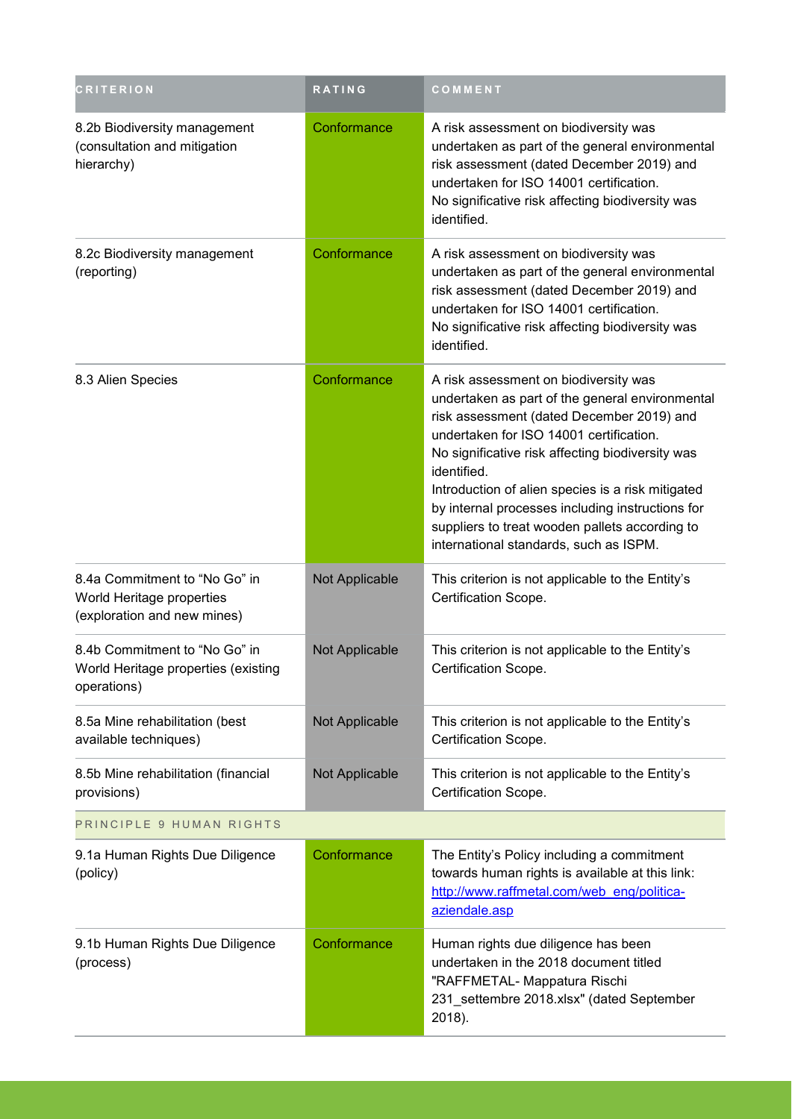| <b>CRITERION</b>                                                                          | <b>RATING</b>  | COMMENT                                                                                                                                                                                                                                                                                                                                                                                                                                                  |
|-------------------------------------------------------------------------------------------|----------------|----------------------------------------------------------------------------------------------------------------------------------------------------------------------------------------------------------------------------------------------------------------------------------------------------------------------------------------------------------------------------------------------------------------------------------------------------------|
| 8.2b Biodiversity management<br>(consultation and mitigation<br>hierarchy)                | Conformance    | A risk assessment on biodiversity was<br>undertaken as part of the general environmental<br>risk assessment (dated December 2019) and<br>undertaken for ISO 14001 certification.<br>No significative risk affecting biodiversity was<br>identified.                                                                                                                                                                                                      |
| 8.2c Biodiversity management<br>(reporting)                                               | Conformance    | A risk assessment on biodiversity was<br>undertaken as part of the general environmental<br>risk assessment (dated December 2019) and<br>undertaken for ISO 14001 certification.<br>No significative risk affecting biodiversity was<br>identified.                                                                                                                                                                                                      |
| 8.3 Alien Species                                                                         | Conformance    | A risk assessment on biodiversity was<br>undertaken as part of the general environmental<br>risk assessment (dated December 2019) and<br>undertaken for ISO 14001 certification.<br>No significative risk affecting biodiversity was<br>identified.<br>Introduction of alien species is a risk mitigated<br>by internal processes including instructions for<br>suppliers to treat wooden pallets according to<br>international standards, such as ISPM. |
| 8.4a Commitment to "No Go" in<br>World Heritage properties<br>(exploration and new mines) | Not Applicable | This criterion is not applicable to the Entity's<br>Certification Scope.                                                                                                                                                                                                                                                                                                                                                                                 |
| 8.4b Commitment to "No Go" in<br>World Heritage properties (existing<br>operations)       | Not Applicable | This criterion is not applicable to the Entity's<br>Certification Scope                                                                                                                                                                                                                                                                                                                                                                                  |
| 8.5a Mine rehabilitation (best<br>available techniques)                                   | Not Applicable | This criterion is not applicable to the Entity's<br>Certification Scope.                                                                                                                                                                                                                                                                                                                                                                                 |
| 8.5b Mine rehabilitation (financial<br>provisions)                                        | Not Applicable | This criterion is not applicable to the Entity's<br>Certification Scope.                                                                                                                                                                                                                                                                                                                                                                                 |
| PRINCIPLE 9 HUMAN RIGHTS                                                                  |                |                                                                                                                                                                                                                                                                                                                                                                                                                                                          |
| 9.1a Human Rights Due Diligence<br>(policy)                                               | Conformance    | The Entity's Policy including a commitment<br>towards human rights is available at this link:<br>http://www.raffmetal.com/web eng/politica-<br>aziendale.asp                                                                                                                                                                                                                                                                                             |
| 9.1b Human Rights Due Diligence<br>(process)                                              | Conformance    | Human rights due diligence has been<br>undertaken in the 2018 document titled<br>"RAFFMETAL- Mappatura Rischi<br>231_settembre 2018.xlsx" (dated September<br>2018).                                                                                                                                                                                                                                                                                     |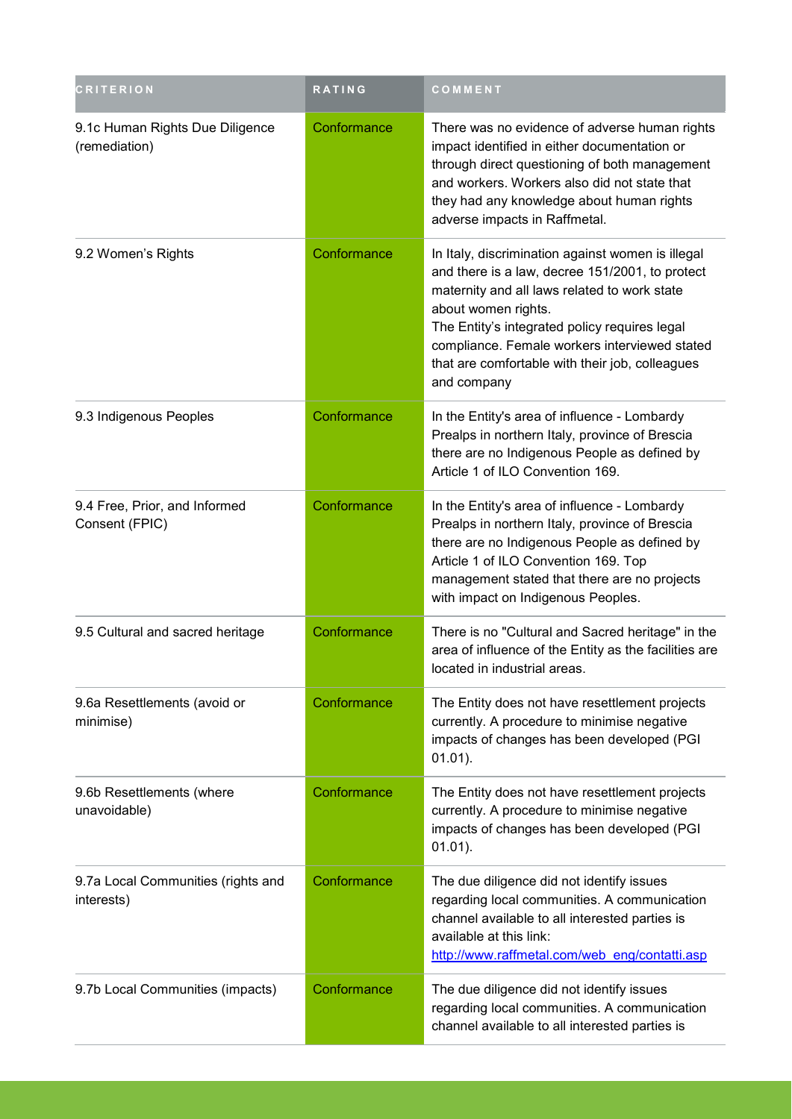| <b>CRITERION</b>                                 | RATING      | COMMENT                                                                                                                                                                                                                                                                                                                                         |
|--------------------------------------------------|-------------|-------------------------------------------------------------------------------------------------------------------------------------------------------------------------------------------------------------------------------------------------------------------------------------------------------------------------------------------------|
| 9.1c Human Rights Due Diligence<br>(remediation) | Conformance | There was no evidence of adverse human rights<br>impact identified in either documentation or<br>through direct questioning of both management<br>and workers. Workers also did not state that<br>they had any knowledge about human rights<br>adverse impacts in Raffmetal.                                                                    |
| 9.2 Women's Rights                               | Conformance | In Italy, discrimination against women is illegal<br>and there is a law, decree 151/2001, to protect<br>maternity and all laws related to work state<br>about women rights.<br>The Entity's integrated policy requires legal<br>compliance. Female workers interviewed stated<br>that are comfortable with their job, colleagues<br>and company |
| 9.3 Indigenous Peoples                           | Conformance | In the Entity's area of influence - Lombardy<br>Prealps in northern Italy, province of Brescia<br>there are no Indigenous People as defined by<br>Article 1 of ILO Convention 169.                                                                                                                                                              |
| 9.4 Free, Prior, and Informed<br>Consent (FPIC)  | Conformance | In the Entity's area of influence - Lombardy<br>Prealps in northern Italy, province of Brescia<br>there are no Indigenous People as defined by<br>Article 1 of ILO Convention 169. Top<br>management stated that there are no projects<br>with impact on Indigenous Peoples.                                                                    |
| 9.5 Cultural and sacred heritage                 | Conformance | There is no "Cultural and Sacred heritage" in the<br>area of influence of the Entity as the facilities are<br>located in industrial areas.                                                                                                                                                                                                      |
| 9.6a Resettlements (avoid or<br>minimise)        | Conformance | The Entity does not have resettlement projects<br>currently. A procedure to minimise negative<br>impacts of changes has been developed (PGI<br>$01.01$ ).                                                                                                                                                                                       |
| 9.6b Resettlements (where<br>unavoidable)        | Conformance | The Entity does not have resettlement projects<br>currently. A procedure to minimise negative<br>impacts of changes has been developed (PGI<br>$01.01$ ).                                                                                                                                                                                       |
| 9.7a Local Communities (rights and<br>interests) | Conformance | The due diligence did not identify issues<br>regarding local communities. A communication<br>channel available to all interested parties is<br>available at this link:<br>http://www.raffmetal.com/web_eng/contatti.asp                                                                                                                         |
| 9.7b Local Communities (impacts)                 | Conformance | The due diligence did not identify issues<br>regarding local communities. A communication<br>channel available to all interested parties is                                                                                                                                                                                                     |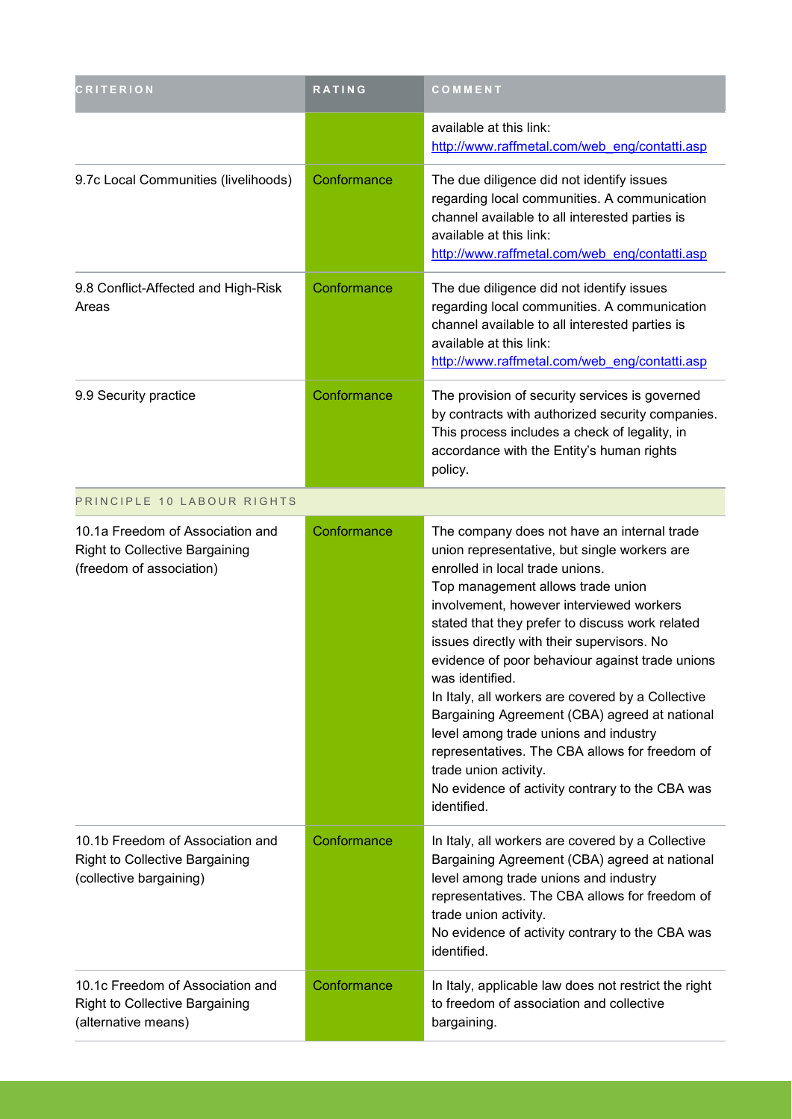| <b>CRITERION</b>                                                                                      | RATING      | COMMENT                                                                                                                                                                                                                                                                                                                                                                                                                                                                                                                                                                                                                                                                            |
|-------------------------------------------------------------------------------------------------------|-------------|------------------------------------------------------------------------------------------------------------------------------------------------------------------------------------------------------------------------------------------------------------------------------------------------------------------------------------------------------------------------------------------------------------------------------------------------------------------------------------------------------------------------------------------------------------------------------------------------------------------------------------------------------------------------------------|
|                                                                                                       |             | available at this link:<br>http://www.raffmetal.com/web_eng/contatti.asp                                                                                                                                                                                                                                                                                                                                                                                                                                                                                                                                                                                                           |
| 9.7c Local Communities (livelihoods)                                                                  | Conformance | The due diligence did not identify issues<br>regarding local communities. A communication<br>channel available to all interested parties is<br>available at this link:<br>http://www.raffmetal.com/web eng/contatti.asp                                                                                                                                                                                                                                                                                                                                                                                                                                                            |
| 9.8 Conflict-Affected and High-Risk<br>Areas                                                          | Conformance | The due diligence did not identify issues<br>regarding local communities. A communication<br>channel available to all interested parties is<br>available at this link:<br>http://www.raffmetal.com/web eng/contatti.asp                                                                                                                                                                                                                                                                                                                                                                                                                                                            |
| 9.9 Security practice                                                                                 | Conformance | The provision of security services is governed<br>by contracts with authorized security companies.<br>This process includes a check of legality, in<br>accordance with the Entity's human rights<br>policy.                                                                                                                                                                                                                                                                                                                                                                                                                                                                        |
| PRINCIPLE 10 LABOUR RIGHTS                                                                            |             |                                                                                                                                                                                                                                                                                                                                                                                                                                                                                                                                                                                                                                                                                    |
| 10.1a Freedom of Association and<br><b>Right to Collective Bargaining</b><br>(freedom of association) | Conformance | The company does not have an internal trade<br>union representative, but single workers are<br>enrolled in local trade unions.<br>Top management allows trade union<br>involvement, however interviewed workers<br>stated that they prefer to discuss work related<br>issues directly with their supervisors. No<br>evidence of poor behaviour against trade unions<br>was identified.<br>In Italy, all workers are covered by a Collective<br>Bargaining Agreement (CBA) agreed at national<br>level among trade unions and industry<br>representatives. The CBA allows for freedom of<br>trade union activity.<br>No evidence of activity contrary to the CBA was<br>identified. |
| 10.1b Freedom of Association and<br><b>Right to Collective Bargaining</b><br>(collective bargaining)  | Conformance | In Italy, all workers are covered by a Collective<br>Bargaining Agreement (CBA) agreed at national<br>level among trade unions and industry<br>representatives. The CBA allows for freedom of<br>trade union activity.<br>No evidence of activity contrary to the CBA was<br>identified.                                                                                                                                                                                                                                                                                                                                                                                           |
| 10.1c Freedom of Association and<br><b>Right to Collective Bargaining</b><br>(alternative means)      | Conformance | In Italy, applicable law does not restrict the right<br>to freedom of association and collective<br>bargaining.                                                                                                                                                                                                                                                                                                                                                                                                                                                                                                                                                                    |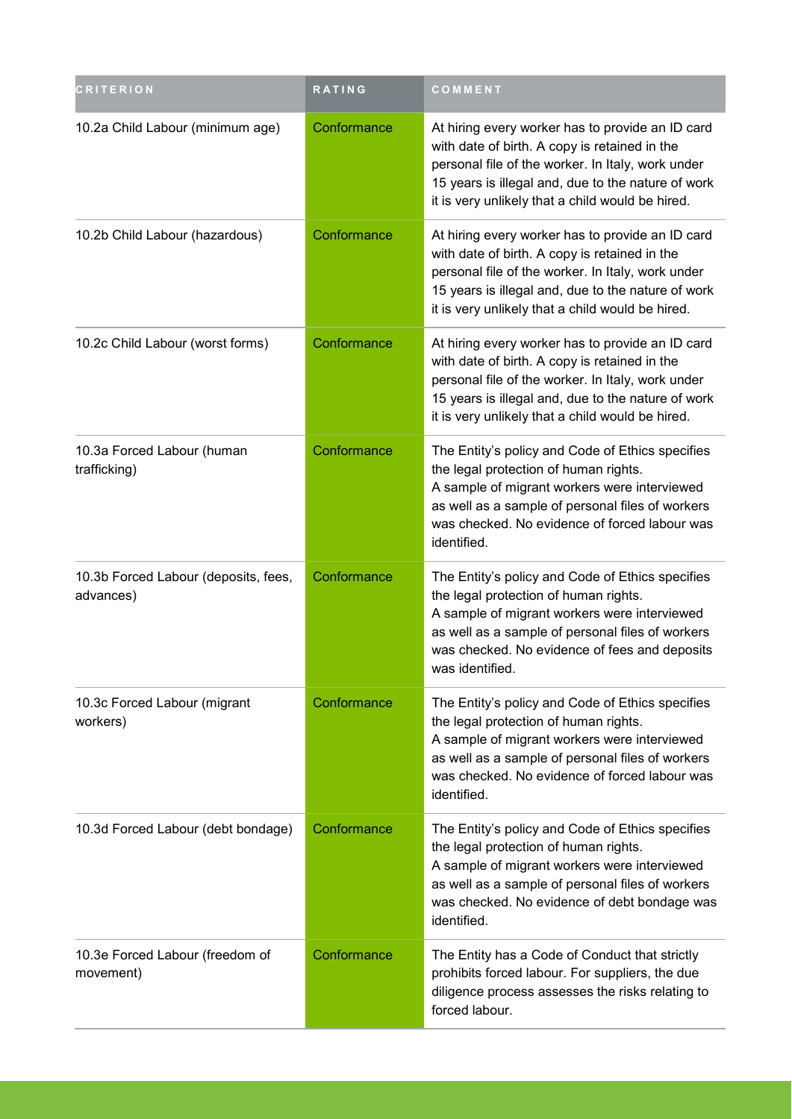| <b>CRITERION</b>                                  | RATING      | COMMENT                                                                                                                                                                                                                                                           |
|---------------------------------------------------|-------------|-------------------------------------------------------------------------------------------------------------------------------------------------------------------------------------------------------------------------------------------------------------------|
| 10.2a Child Labour (minimum age)                  | Conformance | At hiring every worker has to provide an ID card<br>with date of birth. A copy is retained in the<br>personal file of the worker. In Italy, work under<br>15 years is illegal and, due to the nature of work<br>it is very unlikely that a child would be hired.  |
| 10.2b Child Labour (hazardous)                    | Conformance | At hiring every worker has to provide an ID card<br>with date of birth. A copy is retained in the<br>personal file of the worker. In Italy, work under<br>15 years is illegal and, due to the nature of work<br>it is very unlikely that a child would be hired.  |
| 10.2c Child Labour (worst forms)                  | Conformance | At hiring every worker has to provide an ID card<br>with date of birth. A copy is retained in the<br>personal file of the worker. In Italy, work under<br>15 years is illegal and, due to the nature of work<br>it is very unlikely that a child would be hired.  |
| 10.3a Forced Labour (human<br>trafficking)        | Conformance | The Entity's policy and Code of Ethics specifies<br>the legal protection of human rights.<br>A sample of migrant workers were interviewed<br>as well as a sample of personal files of workers<br>was checked. No evidence of forced labour was<br>identified.     |
| 10.3b Forced Labour (deposits, fees,<br>advances) | Conformance | The Entity's policy and Code of Ethics specifies<br>the legal protection of human rights.<br>A sample of migrant workers were interviewed<br>as well as a sample of personal files of workers<br>was checked. No evidence of fees and deposits<br>was identified. |
| 10.3c Forced Labour (migrant<br>workers)          | Conformance | The Entity's policy and Code of Ethics specifies<br>the legal protection of human rights.<br>A sample of migrant workers were interviewed<br>as well as a sample of personal files of workers<br>was checked. No evidence of forced labour was<br>identified.     |
| 10.3d Forced Labour (debt bondage)                | Conformance | The Entity's policy and Code of Ethics specifies<br>the legal protection of human rights.<br>A sample of migrant workers were interviewed<br>as well as a sample of personal files of workers<br>was checked. No evidence of debt bondage was<br>identified.      |
| 10.3e Forced Labour (freedom of<br>movement)      | Conformance | The Entity has a Code of Conduct that strictly<br>prohibits forced labour. For suppliers, the due<br>diligence process assesses the risks relating to<br>forced labour.                                                                                           |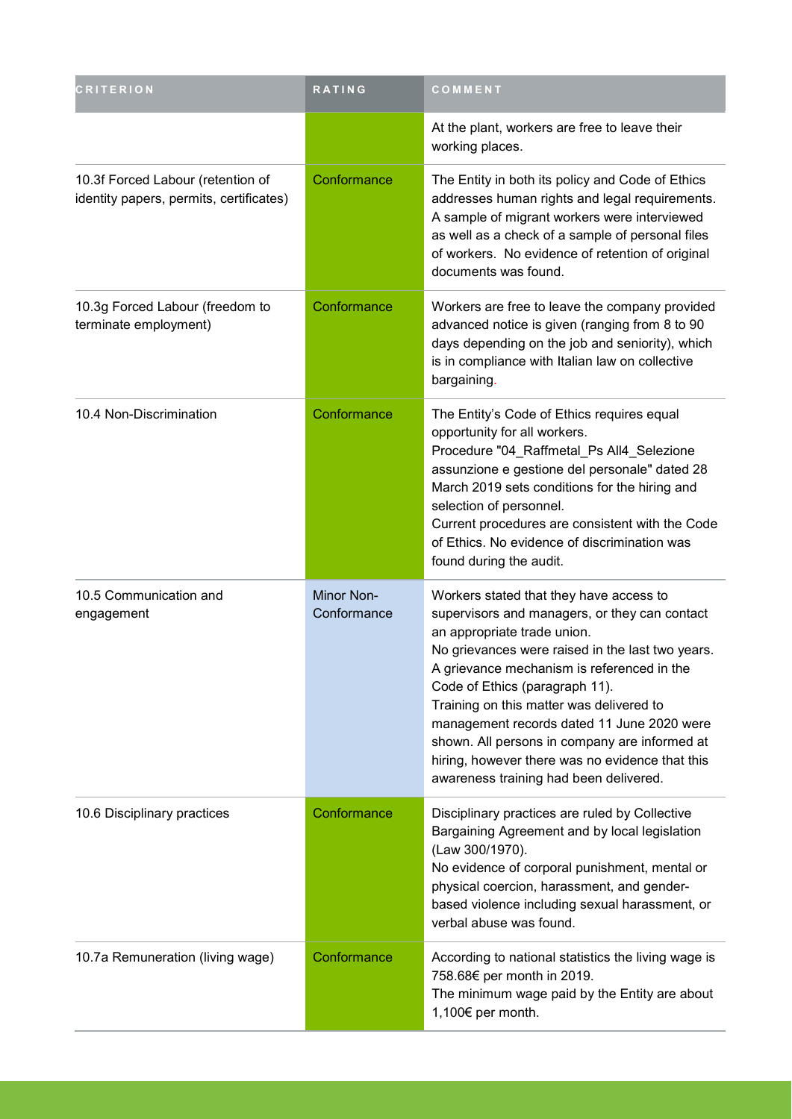| <b>CRITERION</b>                                                             | RATING                    | COMMENT                                                                                                                                                                                                                                                                                                                                                                                                                                                                                             |
|------------------------------------------------------------------------------|---------------------------|-----------------------------------------------------------------------------------------------------------------------------------------------------------------------------------------------------------------------------------------------------------------------------------------------------------------------------------------------------------------------------------------------------------------------------------------------------------------------------------------------------|
|                                                                              |                           | At the plant, workers are free to leave their<br>working places.                                                                                                                                                                                                                                                                                                                                                                                                                                    |
| 10.3f Forced Labour (retention of<br>identity papers, permits, certificates) | Conformance               | The Entity in both its policy and Code of Ethics<br>addresses human rights and legal requirements.<br>A sample of migrant workers were interviewed<br>as well as a check of a sample of personal files<br>of workers. No evidence of retention of original<br>documents was found.                                                                                                                                                                                                                  |
| 10.3g Forced Labour (freedom to<br>terminate employment)                     | Conformance               | Workers are free to leave the company provided<br>advanced notice is given (ranging from 8 to 90<br>days depending on the job and seniority), which<br>is in compliance with Italian law on collective<br>bargaining.                                                                                                                                                                                                                                                                               |
| 10.4 Non-Discrimination                                                      | Conformance               | The Entity's Code of Ethics requires equal<br>opportunity for all workers.<br>Procedure "04_Raffmetal_Ps All4_Selezione<br>assunzione e gestione del personale" dated 28<br>March 2019 sets conditions for the hiring and<br>selection of personnel.<br>Current procedures are consistent with the Code<br>of Ethics. No evidence of discrimination was<br>found during the audit.                                                                                                                  |
| 10.5 Communication and<br>engagement                                         | Minor Non-<br>Conformance | Workers stated that they have access to<br>supervisors and managers, or they can contact<br>an appropriate trade union.<br>No grievances were raised in the last two years.<br>A grievance mechanism is referenced in the<br>Code of Ethics (paragraph 11).<br>Training on this matter was delivered to<br>management records dated 11 June 2020 were<br>shown. All persons in company are informed at<br>hiring, however there was no evidence that this<br>awareness training had been delivered. |
| 10.6 Disciplinary practices                                                  | Conformance               | Disciplinary practices are ruled by Collective<br>Bargaining Agreement and by local legislation<br>(Law 300/1970).<br>No evidence of corporal punishment, mental or<br>physical coercion, harassment, and gender-<br>based violence including sexual harassment, or<br>verbal abuse was found.                                                                                                                                                                                                      |
| 10.7a Remuneration (living wage)                                             | Conformance               | According to national statistics the living wage is<br>758.68€ per month in 2019.<br>The minimum wage paid by the Entity are about<br>1,100€ per month.                                                                                                                                                                                                                                                                                                                                             |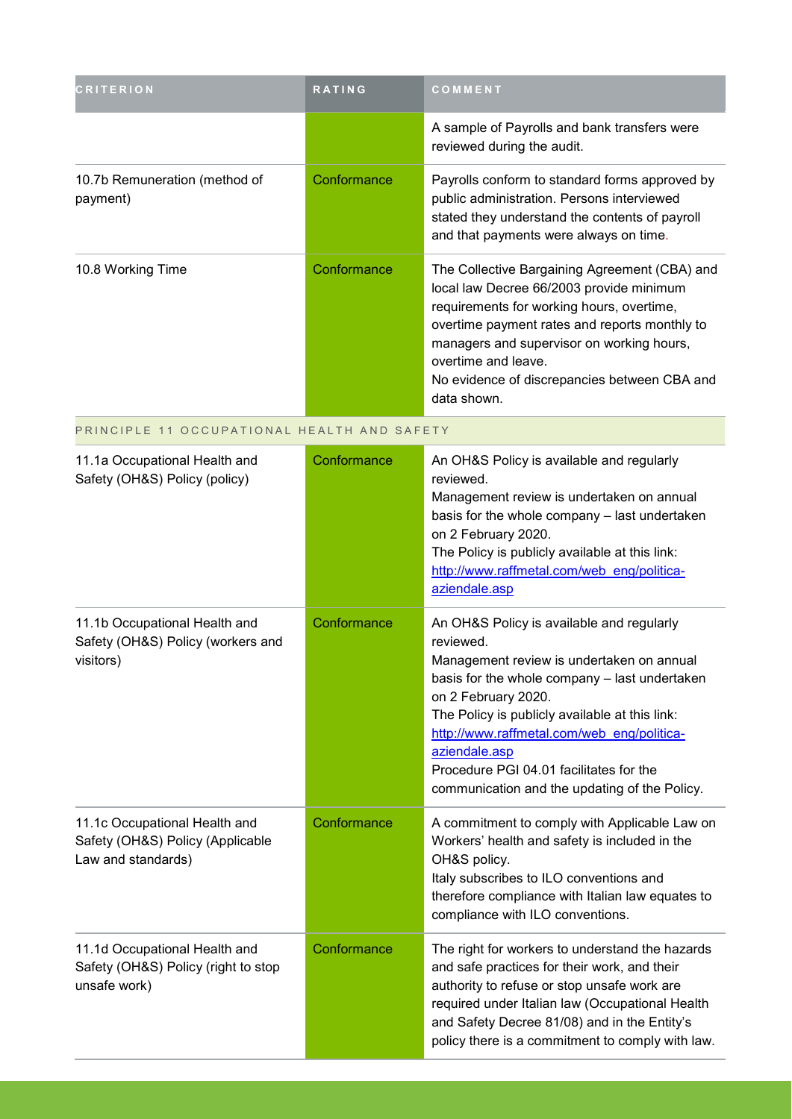| <b>CRITERION</b>                                                                        | <b>RATING</b> | COMMENT                                                                                                                                                                                                                                                                                                                                                                                  |
|-----------------------------------------------------------------------------------------|---------------|------------------------------------------------------------------------------------------------------------------------------------------------------------------------------------------------------------------------------------------------------------------------------------------------------------------------------------------------------------------------------------------|
|                                                                                         |               | A sample of Payrolls and bank transfers were<br>reviewed during the audit.                                                                                                                                                                                                                                                                                                               |
| 10.7b Remuneration (method of<br>payment)                                               | Conformance   | Payrolls conform to standard forms approved by<br>public administration. Persons interviewed<br>stated they understand the contents of payroll<br>and that payments were always on time.                                                                                                                                                                                                 |
| 10.8 Working Time                                                                       | Conformance   | The Collective Bargaining Agreement (CBA) and<br>local law Decree 66/2003 provide minimum<br>requirements for working hours, overtime,<br>overtime payment rates and reports monthly to<br>managers and supervisor on working hours,<br>overtime and leave.<br>No evidence of discrepancies between CBA and<br>data shown.                                                               |
| PRINCIPLE 11 OCCUPATIONAL HEALTH AND SAFETY                                             |               |                                                                                                                                                                                                                                                                                                                                                                                          |
| 11.1a Occupational Health and<br>Safety (OH&S) Policy (policy)                          | Conformance   | An OH&S Policy is available and regularly<br>reviewed.<br>Management review is undertaken on annual<br>basis for the whole company - last undertaken<br>on 2 February 2020.<br>The Policy is publicly available at this link:<br>http://www.raffmetal.com/web eng/politica-<br>aziendale.asp                                                                                             |
| 11.1b Occupational Health and<br>Safety (OH&S) Policy (workers and<br>visitors)         | Conformance   | An OH&S Policy is available and regularly<br>reviewed.<br>Management review is undertaken on annual<br>basis for the whole company - last undertaken<br>on 2 February 2020.<br>The Policy is publicly available at this link:<br>http://www.raffmetal.com/web eng/politica-<br>aziendale.asp<br>Procedure PGI 04.01 facilitates for the<br>communication and the updating of the Policy. |
| 11.1c Occupational Health and<br>Safety (OH&S) Policy (Applicable<br>Law and standards) | Conformance   | A commitment to comply with Applicable Law on<br>Workers' health and safety is included in the<br>OH&S policy.<br>Italy subscribes to ILO conventions and<br>therefore compliance with Italian law equates to<br>compliance with ILO conventions.                                                                                                                                        |
| 11.1d Occupational Health and<br>Safety (OH&S) Policy (right to stop<br>unsafe work)    | Conformance   | The right for workers to understand the hazards<br>and safe practices for their work, and their<br>authority to refuse or stop unsafe work are<br>required under Italian law (Occupational Health<br>and Safety Decree 81/08) and in the Entity's<br>policy there is a commitment to comply with law.                                                                                    |